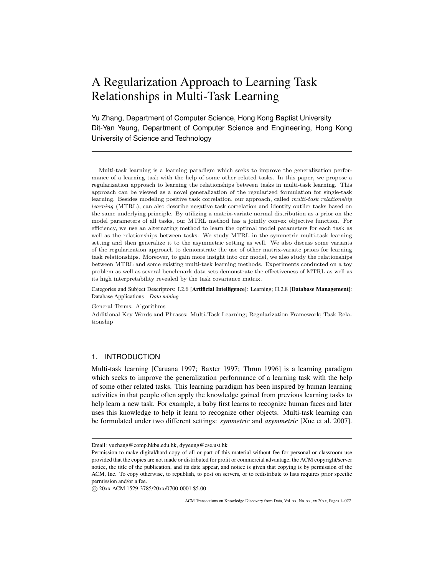# A Regularization Approach to Learning Task Relationships in Multi-Task Learning

Yu Zhang, Department of Computer Science, Hong Kong Baptist University Dit-Yan Yeung, Department of Computer Science and Engineering, Hong Kong University of Science and Technology

Multi-task learning is a learning paradigm which seeks to improve the generalization performance of a learning task with the help of some other related tasks. In this paper, we propose a regularization approach to learning the relationships between tasks in multi-task learning. This approach can be viewed as a novel generalization of the regularized formulation for single-task learning. Besides modeling positive task correlation, our approach, called *multi-task relationship learning* (MTRL), can also describe negative task correlation and identify outlier tasks based on the same underlying principle. By utilizing a matrix-variate normal distribution as a prior on the model parameters of all tasks, our MTRL method has a jointly convex objective function. For efficiency, we use an alternating method to learn the optimal model parameters for each task as well as the relationships between tasks. We study MTRL in the symmetric multi-task learning setting and then generalize it to the asymmetric setting as well. We also discuss some variants of the regularization approach to demonstrate the use of other matrix-variate priors for learning task relationships. Moreover, to gain more insight into our model, we also study the relationships between MTRL and some existing multi-task learning methods. Experiments conducted on a toy problem as well as several benchmark data sets demonstrate the effectiveness of MTRL as well as its high interpretability revealed by the task covariance matrix.

Categories and Subject Descriptors: I.2.6 [Artificial Intelligence]: Learning; H.2.8 [Database Management]: Database Applications—*Data mining*

General Terms: Algorithms

Additional Key Words and Phrases: Multi-Task Learning; Regularization Framework; Task Relationship

# 1. INTRODUCTION

Multi-task learning [Caruana 1997; Baxter 1997; Thrun 1996] is a learning paradigm which seeks to improve the generalization performance of a learning task with the help of some other related tasks. This learning paradigm has been inspired by human learning activities in that people often apply the knowledge gained from previous learning tasks to help learn a new task. For example, a baby first learns to recognize human faces and later uses this knowledge to help it learn to recognize other objects. Multi-task learning can be formulated under two different settings: *symmetric* and *asymmetric* [Xue et al. 2007].

*⃝*c 20xx ACM 1529-3785/20xx/0700-0001 \$5.00

Email: yuzhang@comp.hkbu.edu.hk, dyyeung@cse.ust.hk

Permission to make digital/hard copy of all or part of this material without fee for personal or classroom use provided that the copies are not made or distributed for profit or commercial advantage, the ACM copyright/server notice, the title of the publication, and its date appear, and notice is given that copying is by permission of the ACM, Inc. To copy otherwise, to republish, to post on servers, or to redistribute to lists requires prior specific permission and/or a fee.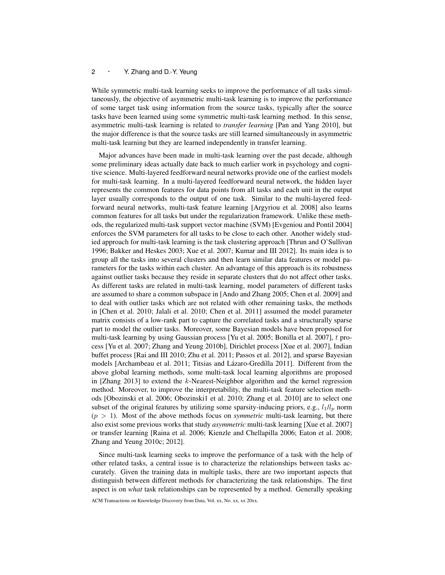While symmetric multi-task learning seeks to improve the performance of all tasks simultaneously, the objective of asymmetric multi-task learning is to improve the performance of some target task using information from the source tasks, typically after the source tasks have been learned using some symmetric multi-task learning method. In this sense, asymmetric multi-task learning is related to *transfer learning* [Pan and Yang 2010], but the major difference is that the source tasks are still learned simultaneously in asymmetric multi-task learning but they are learned independently in transfer learning.

Major advances have been made in multi-task learning over the past decade, although some preliminary ideas actually date back to much earlier work in psychology and cognitive science. Multi-layered feedforward neural networks provide one of the earliest models for multi-task learning. In a multi-layered feedforward neural network, the hidden layer represents the common features for data points from all tasks and each unit in the output layer usually corresponds to the output of one task. Similar to the multi-layered feedforward neural networks, multi-task feature learning [Argyriou et al. 2008] also learns common features for all tasks but under the regularization framework. Unlike these methods, the regularized multi-task support vector machine (SVM) [Evgeniou and Pontil 2004] enforces the SVM parameters for all tasks to be close to each other. Another widely studied approach for multi-task learning is the task clustering approach [Thrun and O'Sullivan 1996; Bakker and Heskes 2003; Xue et al. 2007; Kumar and III 2012]. Its main idea is to group all the tasks into several clusters and then learn similar data features or model parameters for the tasks within each cluster. An advantage of this approach is its robustness against outlier tasks because they reside in separate clusters that do not affect other tasks. As different tasks are related in multi-task learning, model parameters of different tasks are assumed to share a common subspace in [Ando and Zhang 2005; Chen et al. 2009] and to deal with outlier tasks which are not related with other remaining tasks, the methods in [Chen et al. 2010; Jalali et al. 2010; Chen et al. 2011] assumed the model parameter matrix consists of a low-rank part to capture the correlated tasks and a structurally sparse part to model the outlier tasks. Moreover, some Bayesian models have been proposed for multi-task learning by using Gaussian process [Yu et al. 2005; Bonilla et al. 2007], *t* process [Yu et al. 2007; Zhang and Yeung 2010b], Dirichlet process [Xue et al. 2007], Indian buffet process [Rai and III 2010; Zhu et al. 2011; Passos et al. 2012], and sparse Bayesian models [Archambeau et al. 2011; Titsias and Lázaro-Gredilla 2011]. Different from the above global learning methods, some multi-task local learning algorithms are proposed in [Zhang 2013] to extend the *k*-Nearest-Neighbor algorithm and the kernel regression method. Moreover, to improve the interpretability, the multi-task feature selection methods [Obozinski et al. 2006; Obozinski1 et al. 2010; Zhang et al. 2010] are to select one subset of the original features by utilizing some sparsity-inducing priors, e.g.,  $l_1/l_p$  norm  $(p > 1)$ . Most of the above methods focus on *symmetric* multi-task learning, but there also exist some previous works that study *asymmetric* multi-task learning [Xue et al. 2007] or transfer learning [Raina et al. 2006; Kienzle and Chellapilla 2006; Eaton et al. 2008; Zhang and Yeung 2010c; 2012].

Since multi-task learning seeks to improve the performance of a task with the help of other related tasks, a central issue is to characterize the relationships between tasks accurately. Given the training data in multiple tasks, there are two important aspects that distinguish between different methods for characterizing the task relationships. The first aspect is on *what* task relationships can be represented by a method. Generally speaking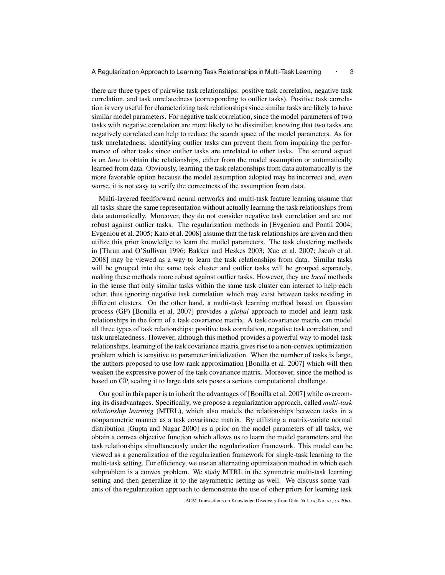there are three types of pairwise task relationships: positive task correlation, negative task correlation, and task unrelatedness (corresponding to outlier tasks). Positive task correlation is very useful for characterizing task relationships since similar tasks are likely to have similar model parameters. For negative task correlation, since the model parameters of two tasks with negative correlation are more likely to be dissimilar, knowing that two tasks are negatively correlated can help to reduce the search space of the model parameters. As for task unrelatedness, identifying outlier tasks can prevent them from impairing the performance of other tasks since outlier tasks are unrelated to other tasks. The second aspect is on *how* to obtain the relationships, either from the model assumption or automatically learned from data. Obviously, learning the task relationships from data automatically is the more favorable option because the model assumption adopted may be incorrect and, even worse, it is not easy to verify the correctness of the assumption from data.

Multi-layered feedforward neural networks and multi-task feature learning assume that all tasks share the same representation without actually learning the task relationships from data automatically. Moreover, they do not consider negative task correlation and are not robust against outlier tasks. The regularization methods in [Evgeniou and Pontil 2004; Evgeniou et al. 2005; Kato et al. 2008] assume that the task relationships are given and then utilize this prior knowledge to learn the model parameters. The task clustering methods in [Thrun and O'Sullivan 1996; Bakker and Heskes 2003; Xue et al. 2007; Jacob et al. 2008] may be viewed as a way to learn the task relationships from data. Similar tasks will be grouped into the same task cluster and outlier tasks will be grouped separately, making these methods more robust against outlier tasks. However, they are *local* methods in the sense that only similar tasks within the same task cluster can interact to help each other, thus ignoring negative task correlation which may exist between tasks residing in different clusters. On the other hand, a multi-task learning method based on Gaussian process (GP) [Bonilla et al. 2007] provides a *global* approach to model and learn task relationships in the form of a task covariance matrix. A task covariance matrix can model all three types of task relationships: positive task correlation, negative task correlation, and task unrelatedness. However, although this method provides a powerful way to model task relationships, learning of the task covariance matrix gives rise to a non-convex optimization problem which is sensitive to parameter initialization. When the number of tasks is large, the authors proposed to use low-rank approximation [Bonilla et al. 2007] which will then weaken the expressive power of the task covariance matrix. Moreover, since the method is based on GP, scaling it to large data sets poses a serious computational challenge.

Our goal in this paper is to inherit the advantages of [Bonilla et al. 2007] while overcoming its disadvantages. Specifically, we propose a regularization approach, called *multi-task relationship learning* (MTRL), which also models the relationships between tasks in a nonparametric manner as a task covariance matrix. By utilizing a matrix-variate normal distribution [Gupta and Nagar 2000] as a prior on the model parameters of all tasks, we obtain a convex objective function which allows us to learn the model parameters and the task relationships simultaneously under the regularization framework. This model can be viewed as a generalization of the regularization framework for single-task learning to the multi-task setting. For efficiency, we use an alternating optimization method in which each subproblem is a convex problem. We study MTRL in the symmetric multi-task learning setting and then generalize it to the asymmetric setting as well. We discuss some variants of the regularization approach to demonstrate the use of other priors for learning task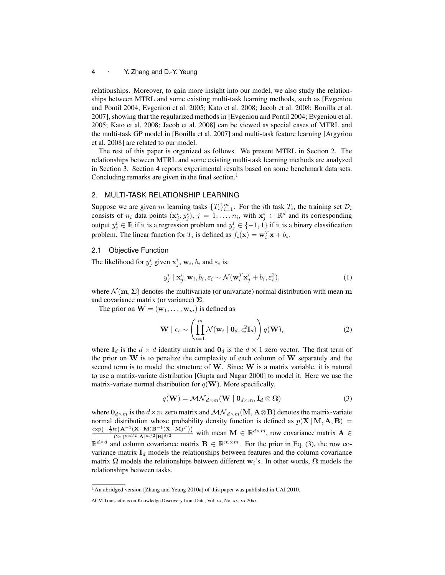relationships. Moreover, to gain more insight into our model, we also study the relationships between MTRL and some existing multi-task learning methods, such as [Evgeniou and Pontil 2004; Evgeniou et al. 2005; Kato et al. 2008; Jacob et al. 2008; Bonilla et al. 2007], showing that the regularized methods in [Evgeniou and Pontil 2004; Evgeniou et al. 2005; Kato et al. 2008; Jacob et al. 2008] can be viewed as special cases of MTRL and the multi-task GP model in [Bonilla et al. 2007] and multi-task feature learning [Argyriou et al. 2008] are related to our model.

The rest of this paper is organized as follows. We present MTRL in Section 2. The relationships between MTRL and some existing multi-task learning methods are analyzed in Section 3. Section 4 reports experimental results based on some benchmark data sets. Concluding remarks are given in the final section.<sup>1</sup>

# 2. MULTI-TASK RELATIONSHIP LEARNING

Suppose we are given *m* learning tasks  $\{T_i\}_{i=1}^m$ . For the *i*th task  $T_i$ , the training set  $D_i$ consists of  $n_i$  data points  $(\mathbf{x}_j^i, y_j^i)$ ,  $j = 1, \dots, n_i$ , with  $\mathbf{x}_j^i \in \mathbb{R}^d$  and its corresponding output  $y_j^i \in \mathbb{R}$  if it is a regression problem and  $y_j^i \in \{-1,1\}$  if it is a binary classification problem. The linear function for  $T_i$  is defined as  $f_i(\mathbf{x}) = \mathbf{w}_i^T \mathbf{x} + b_i$ .

#### 2.1 Objective Function

The likelihood for  $y_j^i$  given  $\mathbf{x}_j^i$ ,  $\mathbf{w}_i$ ,  $b_i$  and  $\varepsilon_i$  is:

$$
y_j^i \mid \mathbf{x}_j^i, \mathbf{w}_i, b_i, \varepsilon_i \sim \mathcal{N}(\mathbf{w}_i^T \mathbf{x}_j^i + b_i, \varepsilon_i^2),
$$
 (1)

where  $\mathcal{N}(\mathbf{m}, \Sigma)$  denotes the multivariate (or univariate) normal distribution with mean **m** and covariance matrix (or variance) **Σ**.

The prior on  $\mathbf{W} = (\mathbf{w}_1, \dots, \mathbf{w}_m)$  is defined as

$$
\mathbf{W} \mid \epsilon_i \sim \left( \prod_{i=1}^m \mathcal{N}(\mathbf{w}_i \mid \mathbf{0}_d, \epsilon_i^2 \mathbf{I}_d) \right) q(\mathbf{W}), \tag{2}
$$

where  $I_d$  is the  $d \times d$  identity matrix and  $O_d$  is the  $d \times 1$  zero vector. The first term of the prior on **W** is to penalize the complexity of each column of **W** separately and the second term is to model the structure of **W**. Since **W** is a matrix variable, it is natural to use a matrix-variate distribution [Gupta and Nagar 2000] to model it. Here we use the matrix-variate normal distribution for  $q(\mathbf{W})$ . More specifically,

$$
q(\mathbf{W}) = \mathcal{MN}_{d \times m}(\mathbf{W} \mid \mathbf{0}_{d \times m}, \mathbf{I}_d \otimes \mathbf{\Omega})
$$
\n(3)

where  $\mathbf{0}_{d \times m}$  is the  $d \times m$  zero matrix and  $\mathcal{MN}_{d \times m}(\mathbf{M}, \mathbf{A} \otimes \mathbf{B})$  denotes the matrix-variate normal distribution whose probability density function is defined as  $p(X | M, A, B)$  $\exp(-\frac{1}{2}\mathrm{tr}\left(\mathbf{A}^{-1}(\mathbf{X}-\mathbf{M})\mathbf{B}^{-1}(\mathbf{X}-\mathbf{M})^T\right))$  $\frac{(\mathbf{X}-\mathbf{M})\mathbf{B}}{(2\pi)^{md/2}|\mathbf{A}|^{m/2}|\mathbf{B}|^{d/2}}$  with mean  $\mathbf{M} \in \mathbb{R}^{d \times m}$ , row covariance matrix  $\mathbf{A} \in \mathbb{R}^{d \times m}$  $\mathbb{R}^{d \times d}$  and column covariance matrix  $\mathbf{B} \in \mathbb{R}^{m \times m}$ . For the prior in Eq. (3), the row covariance matrix  $I_d$  models the relationships between features and the column covariance matrix  $\Omega$  models the relationships between different  $w_i$ 's. In other words,  $\Omega$  models the relationships between tasks.

<sup>1</sup>An abridged version [Zhang and Yeung 2010a] of this paper was published in UAI 2010.

ACM Transactions on Knowledge Discovery from Data, Vol. xx, No. xx, xx 20xx.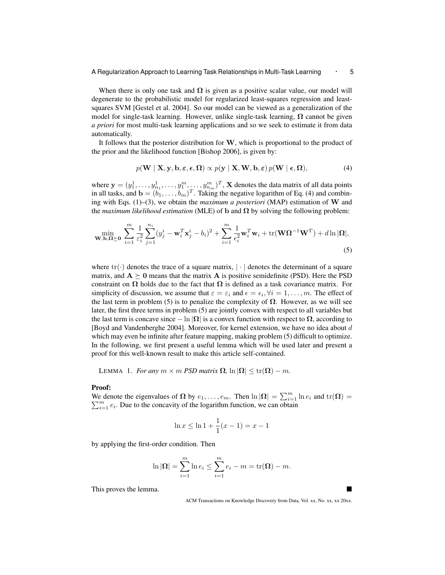When there is only one task and  $\Omega$  is given as a positive scalar value, our model will degenerate to the probabilistic model for regularized least-squares regression and leastsquares SVM [Gestel et al. 2004]. So our model can be viewed as a generalization of the model for single-task learning. However, unlike single-task learning,  $\Omega$  cannot be given *a priori* for most multi-task learning applications and so we seek to estimate it from data automatically.

It follows that the posterior distribution for **W**, which is proportional to the product of the prior and the likelihood function [Bishop 2006], is given by:

$$
p(\mathbf{W} \mid \mathbf{X}, \mathbf{y}, \mathbf{b}, \boldsymbol{\varepsilon}, \boldsymbol{\epsilon}, \boldsymbol{\Omega}) \propto p(\mathbf{y} \mid \mathbf{X}, \mathbf{W}, \mathbf{b}, \boldsymbol{\varepsilon}) p(\mathbf{W} \mid \boldsymbol{\epsilon}, \boldsymbol{\Omega}),
$$
\n(4)

where  $\mathbf{y} = (y_1^1, \dots, y_{n_1}^1, \dots, y_1^m, \dots, y_{n_m}^m)^T$ , **X** denotes the data matrix of all data points in all tasks, and  $\mathbf{b} = (b_1, \ldots, b_m)^T$ . Taking the negative logarithm of Eq. (4) and combining with Eqs. (1)–(3), we obtain the *maximum a posteriori* (MAP) estimation of **W** and the *maximum likelihood estimation* (MLE) of **b** and  $\Omega$  by solving the following problem:

$$
\min_{\mathbf{W},\mathbf{b},\Omega\succeq\mathbf{0}}\ \sum_{i=1}^{m}\frac{1}{\varepsilon_{i}^{2}}\sum_{j=1}^{n_{i}}(y_{j}^{i}-\mathbf{w}_{i}^{T}\mathbf{x}_{j}^{i}-b_{i})^{2}+\sum_{i=1}^{m}\frac{1}{\varepsilon_{i}^{2}}\mathbf{w}_{i}^{T}\mathbf{w}_{i}+\text{tr}(\mathbf{W}\Omega^{-1}\mathbf{W}^{T})+d\ln|\Omega|,
$$
\n(5)

where  $\text{tr}(\cdot)$  denotes the trace of a square matrix,  $|\cdot|$  denotes the determinant of a square matrix, and  $A \succeq 0$  means that the matrix A is positive semidefinite (PSD). Here the PSD constraint on  $\Omega$  holds due to the fact that  $\Omega$  is defined as a task covariance matrix. For simplicity of discussion, we assume that  $\varepsilon = \varepsilon_i$  and  $\epsilon = \epsilon_i, \forall i = 1, \dots, m$ . The effect of the last term in problem (5) is to penalize the complexity of  $\Omega$ . However, as we will see later, the first three terms in problem (5) are jointly convex with respect to all variables but the last term is concave since  $-\ln |\Omega|$  is a convex function with respect to  $\Omega$ , according to [Boyd and Vandenberghe 2004]. Moreover, for kernel extension, we have no idea about *d* which may even be infinite after feature mapping, making problem  $(5)$  difficult to optimize. In the following, we first present a useful lemma which will be used later and present a proof for this well-known result to make this article self-contained.

LEMMA 1. *For any*  $m \times m$  *PSD matrix*  $\Omega$ ,  $\ln |\Omega| \le \text{tr}(\Omega) - m$ .

## Proof:

We denote the eigenvalues of  $\Omega$  by  $e_1, \ldots, e_m$ . Then  $\ln |\Omega| = \sum_{i=1}^m \ln e_i$  and  $\text{tr}(\Omega) =$  $\sum_{i=1}^{m} e_i$ . Due to the concavity of the logarithm function, we can obtain

$$
\ln x \le \ln 1 + \frac{1}{1}(x - 1) = x - 1
$$

by applying the first-order condition. Then

$$
\ln |\Omega| = \sum_{i=1}^m \ln e_i \le \sum_{i=1}^m e_i - m = \text{tr}(\Omega) - m.
$$

This proves the lemma.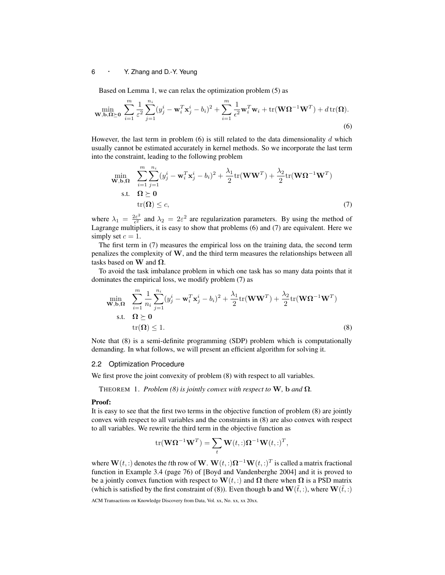Based on Lemma 1, we can relax the optimization problem (5) as

$$
\min_{\mathbf{W},\mathbf{b},\Omega\succeq\mathbf{0}}\sum_{i=1}^{m}\frac{1}{\varepsilon^{2}}\sum_{j=1}^{n_{i}}(y_{j}^{i}-\mathbf{w}_{i}^{T}\mathbf{x}_{j}^{i}-b_{i})^{2}+\sum_{i=1}^{m}\frac{1}{\epsilon^{2}}\mathbf{w}_{i}^{T}\mathbf{w}_{i}+\text{tr}(\mathbf{W}\Omega^{-1}\mathbf{W}^{T})+d\,\text{tr}(\Omega).
$$
\n(6)

However, the last term in problem (6) is still related to the data dimensionality *d* which usually cannot be estimated accurately in kernel methods. So we incorporate the last term into the constraint, leading to the following problem

$$
\min_{\mathbf{W},\mathbf{b},\mathbf{\Omega}} \quad \sum_{i=1}^{m} \sum_{j=1}^{n_i} (y_j^i - \mathbf{w}_i^T \mathbf{x}_j^i - b_i)^2 + \frac{\lambda_1}{2} \text{tr}(\mathbf{W}\mathbf{W}^T) + \frac{\lambda_2}{2} \text{tr}(\mathbf{W}\mathbf{\Omega}^{-1}\mathbf{W}^T)
$$
\n
$$
\text{s.t.} \quad \mathbf{\Omega} \succeq \mathbf{0} \quad \text{tr}(\mathbf{\Omega}) \le c, \tag{7}
$$

where  $\lambda_1 = \frac{2\varepsilon^2}{\epsilon^2}$  $\lambda_2 = 2\varepsilon^2$  and  $\lambda_2 = 2\varepsilon^2$  are regularization parameters. By using the method of Lagrange multipliers, it is easy to show that problems (6) and (7) are equivalent. Here we simply set  $c = 1$ .

The first term in (7) measures the empirical loss on the training data, the second term penalizes the complexity of **W**, and the third term measures the relationships between all tasks based on **W** and **Ω**.

To avoid the task imbalance problem in which one task has so many data points that it dominates the empirical loss, we modify problem (7) as

$$
\min_{\mathbf{W},\mathbf{b},\mathbf{\Omega}} \quad \sum_{i=1}^{m} \frac{1}{n_i} \sum_{j=1}^{n_i} (y_j^i - \mathbf{w}_i^T \mathbf{x}_j^i - b_i)^2 + \frac{\lambda_1}{2} \text{tr}(\mathbf{W}\mathbf{W}^T) + \frac{\lambda_2}{2} \text{tr}(\mathbf{W}\mathbf{\Omega}^{-1}\mathbf{W}^T) \n\text{s.t.} \quad \mathbf{\Omega} \succeq \mathbf{0} \n\text{tr}(\mathbf{\Omega}) \le 1.
$$
\n(8)

Note that (8) is a semi-definite programming (SDP) problem which is computationally demanding. In what follows, we will present an efficient algorithm for solving it.

## 2.2 Optimization Procedure

We first prove the joint convexity of problem  $(8)$  with respect to all variables.

THEOREM 1. *Problem* (8) is jointly convex with respect to **W**, **b** and  $\Omega$ *.* 

#### Proof:

It is easy to see that the first two terms in the objective function of problem (8) are jointly convex with respect to all variables and the constraints in (8) are also convex with respect to all variables. We rewrite the third term in the objective function as

$$
\mathrm{tr}(\mathbf{W}\mathbf{\Omega}^{-1}\mathbf{W}^T) = \sum_t \mathbf{W}(t,:)\mathbf{\Omega}^{-1}\mathbf{W}(t,:)^T,
$$

where  $\mathbf{W}(t,.)$  denotes the *t*th row of  $\mathbf{W}$ .  $\mathbf{W}(t,:) \Omega^{-1} \mathbf{W}(t,:)^T$  is called a matrix fractional function in Example 3.4 (page 76) of [Boyd and Vandenberghe 2004] and it is proved to be a jointly convex function with respect to **W**(*t,* :) and **Ω** there when **Ω** is a PSD matrix (which is satisfied by the first constraint of (8)). Even though **b** and  $\mathbf{W}(\tilde{t},:)$ , where  $\mathbf{W}(\tilde{t},:)$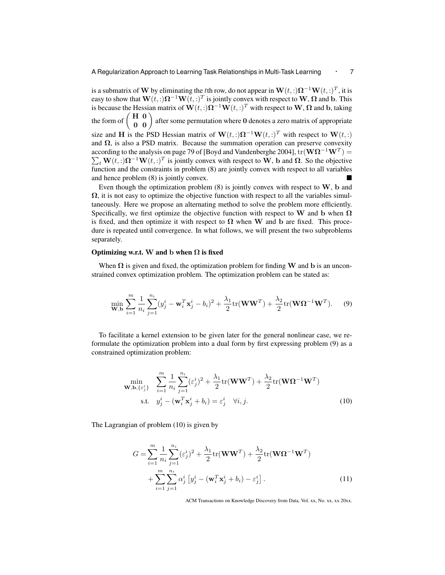is a submatrix of  $\bf{W}$  by eliminating the *t*th row, do not appear in  $\bf{W}(t,:) \Omega^{-1} \bf{W}(t,:)^T$ , it is easy to show that  $\mathbf{W}(t,:) \Omega^{-1} \mathbf{W}(t,:)^T$  is jointly convex with respect to  $\mathbf{W}, \Omega$  and  $\mathbf{b}$ . This is because the Hessian matrix of  $\mathbf{W}(t, \cdot) \mathbf{\Omega}^{-1} \mathbf{W}(t, \cdot)^T$  with respect to  $\mathbf{W}, \mathbf{\Omega}$  and  $\mathbf{b}$ , taking the form of  $\begin{pmatrix} H & 0 \\ 0 & 0 \end{pmatrix}$  after some permutation where 0 denotes a zero matrix of appropriate size and **H** is the PSD Hessian matrix of  $\mathbf{W}(t, \cdot) \mathbf{\Omega}^{-1} \mathbf{W}(t, \cdot)$ <sup>T</sup> with respect to  $\mathbf{W}(t, \cdot)$ and  $\Omega$ , is also a PSD matrix. Because the summation operation can preserve convexity according to the analysis on page 79 of [Boyd and Vandenberghe 2004], tr(**WΩ***<sup>−</sup>*<sup>1</sup>**W***<sup>T</sup>* ) =  $\sum_{t} \mathbf{W}(t, \cdot) \mathbf{\Omega}^{-1} \mathbf{W}(t, \cdot)^{T}$  is jointly convex with respect to **W**, **b** and  $\mathbf{\Omega}$ . So the objective function and the constraints in problem (8) are jointly convex with respect to all variables and hence problem (8) is jointly convex.

Even though the optimization problem (8) is jointly convex with respect to **W**, **b** and  $\Omega$ , it is not easy to optimize the objective function with respect to all the variables simultaneously. Here we propose an alternating method to solve the problem more efficiently. Specifically, we first optimize the objective function with respect to **W** and **b** when **Ω** is fixed, and then optimize it with respect to  $\Omega$  when **W** and **b** are fixed. This procedure is repeated until convergence. In what follows, we will present the two subproblems separately.

## Optimizing w.r.t. W and b when  $\Omega$  is fixed

When  $\Omega$  is given and fixed, the optimization problem for finding **W** and **b** is an unconstrained convex optimization problem. The optimization problem can be stated as:

$$
\min_{\mathbf{W},\mathbf{b}} \sum_{i=1}^{m} \frac{1}{n_i} \sum_{j=1}^{n_i} (y_j^i - \mathbf{w}_i^T \mathbf{x}_j^i - b_i)^2 + \frac{\lambda_1}{2} \text{tr}(\mathbf{W}\mathbf{W}^T) + \frac{\lambda_2}{2} \text{tr}(\mathbf{W}\mathbf{\Omega}^{-1}\mathbf{W}^T).
$$
 (9)

To facilitate a kernel extension to be given later for the general nonlinear case, we reformulate the optimization problem into a dual form by first expressing problem (9) as a constrained optimization problem:

$$
\min_{\mathbf{W},\mathbf{b},\{\varepsilon_j^i\}} \quad \sum_{i=1}^m \frac{1}{n_i} \sum_{j=1}^{n_i} (\varepsilon_j^i)^2 + \frac{\lambda_1}{2} \text{tr}(\mathbf{W}\mathbf{W}^T) + \frac{\lambda_2}{2} \text{tr}(\mathbf{W}\mathbf{\Omega}^{-1}\mathbf{W}^T)
$$
\n
$$
\text{s.t.} \quad y_j^i - (\mathbf{w}_i^T \mathbf{x}_j^i + b_i) = \varepsilon_j^i \quad \forall i, j. \tag{10}
$$

The Lagrangian of problem (10) is given by

$$
G = \sum_{i=1}^{m} \frac{1}{n_i} \sum_{j=1}^{n_i} (\varepsilon_j^i)^2 + \frac{\lambda_1}{2} \text{tr}(\mathbf{W}\mathbf{W}^T) + \frac{\lambda_2}{2} \text{tr}(\mathbf{W}\mathbf{\Omega}^{-1}\mathbf{W}^T) + \sum_{i=1}^{m} \sum_{j=1}^{n_i} \alpha_j^i \left[ y_j^i - (\mathbf{w}_i^T \mathbf{x}_j^i + b_i) - \varepsilon_j^i \right].
$$
 (11)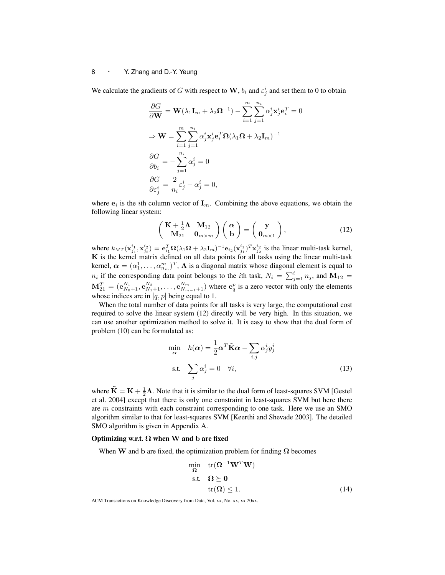We calculate the gradients of *G* with respect to **W**,  $b_i$  and  $\varepsilon^i_j$  and set them to 0 to obtain

$$
\frac{\partial G}{\partial \mathbf{W}} = \mathbf{W}(\lambda_1 \mathbf{I}_m + \lambda_2 \mathbf{\Omega}^{-1}) - \sum_{i=1}^m \sum_{j=1}^{n_i} \alpha_j^i \mathbf{x}_j^i \mathbf{e}_i^T = 0
$$
  
\n
$$
\Rightarrow \mathbf{W} = \sum_{i=1}^m \sum_{j=1}^{n_i} \alpha_j^i \mathbf{x}_j^i \mathbf{e}_i^T \mathbf{\Omega} (\lambda_1 \mathbf{\Omega} + \lambda_2 \mathbf{I}_m)^{-1}
$$
  
\n
$$
\frac{\partial G}{\partial b_i} = -\sum_{j=1}^{n_i} \alpha_j^i = 0
$$
  
\n
$$
\frac{\partial G}{\partial \varepsilon_j^i} = \frac{2}{n_i} \varepsilon_j^i - \alpha_j^i = 0,
$$

where  $e_i$  is the *i*th column vector of  $I_m$ . Combining the above equations, we obtain the following linear system:

$$
\begin{pmatrix} \mathbf{K} + \frac{1}{2}\mathbf{\Lambda} & \mathbf{M}_{12} \\ \mathbf{M}_{21} & \mathbf{0}_{m \times m} \end{pmatrix} \begin{pmatrix} \alpha \\ \mathbf{b} \end{pmatrix} = \begin{pmatrix} \mathbf{y} \\ \mathbf{0}_{m \times 1} \end{pmatrix},
$$
(12)

where  $k_{MT}(\mathbf{x}_{j_1}^{i_1}, \mathbf{x}_{j_2}^{i_2}) = \mathbf{e}_{i_1}^T \Omega(\lambda_1 \Omega + \lambda_2 \mathbf{I}_m)^{-1} \mathbf{e}_{i_2}(\mathbf{x}_{j_1}^{i_1})^T \mathbf{x}_{j_2}^{i_2}$  is the linear multi-task kernel, **K** is the kernel matrix defined on all data points for all tasks using the linear multi-task kernel,  $\alpha = (\alpha_1^1, \dots, \alpha_{n_m}^m)^T$ ,  $\Lambda$  is a diagonal matrix whose diagonal element is equal to  $n_i$  if the corresponding data point belongs to the *i*th task,  $N_i = \sum_{j=1}^i n_j$ , and  $M_{12} =$  $M_{21}^T = (\mathbf{e}_{N_0+1}^{N_1}, \mathbf{e}_{N_1+1}^{N_2}, \dots, \mathbf{e}_{N_{m-1}+1}^{N_m})$  where  $\mathbf{e}_q^p$  is a zero vector with only the elements whose indices are in [*q, p*] being equal to 1.

When the total number of data points for all tasks is very large, the computational cost required to solve the linear system (12) directly will be very high. In this situation, we can use another optimization method to solve it. It is easy to show that the dual form of problem (10) can be formulated as:

$$
\min_{\mathbf{\alpha}} \quad h(\mathbf{\alpha}) = \frac{1}{2} \mathbf{\alpha}^T \tilde{\mathbf{K}} \mathbf{\alpha} - \sum_{i,j} \alpha_j^i y_j^i
$$
\n
$$
\text{s.t.} \quad \sum_j \alpha_j^i = 0 \quad \forall i,
$$
\n(13)

where  $\tilde{\mathbf{K}} = \mathbf{K} + \frac{1}{2}\boldsymbol{\Lambda}$ . Note that it is similar to the dual form of least-squares SVM [Gestel et al. 2004] except that there is only one constraint in least-squares SVM but here there are *m* constraints with each constraint corresponding to one task. Here we use an SMO algorithm similar to that for least-squares SVM [Keerthi and Shevade 2003]. The detailed SMO algorithm is given in Appendix A.

#### Optimizing w.r.t. **Ω** when **W** and **b** are fixed

When **W** and **b** are fixed, the optimization problem for finding  $\Omega$  becomes

$$
\min_{\Omega} \quad tr(\Omega^{-1} \mathbf{W}^T \mathbf{W})
$$
  
s.t. 
$$
\Omega \succeq 0
$$
  

$$
tr(\Omega) \le 1.
$$
 (14)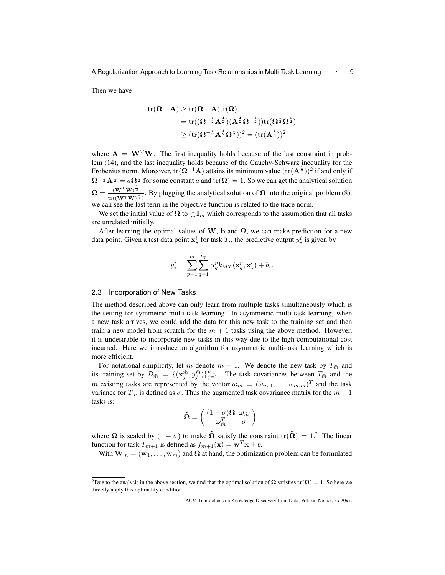Then we have

$$
\begin{aligned} \mathrm{tr}(\boldsymbol{\Omega}^{-1}\mathbf{A}) &\geq \mathrm{tr}(\boldsymbol{\Omega}^{-1}\mathbf{A})\mathrm{tr}(\boldsymbol{\Omega}) \\&= \mathrm{tr}((\boldsymbol{\Omega}^{-\frac{1}{2}}\mathbf{A}^{\frac{1}{2}})(\mathbf{A}^{\frac{1}{2}}\boldsymbol{\Omega}^{-\frac{1}{2}}))\mathrm{tr}(\boldsymbol{\Omega}^{\frac{1}{2}}\boldsymbol{\Omega}^{\frac{1}{2}}) \\&\geq (\mathrm{tr}(\boldsymbol{\Omega}^{-\frac{1}{2}}\mathbf{A}^{\frac{1}{2}}\boldsymbol{\Omega}^{\frac{1}{2}}))^2 = (\mathrm{tr}(\mathbf{A}^{\frac{1}{2}}))^2, \end{aligned}
$$

where  $\mathbf{A} = \mathbf{W}^T \mathbf{W}$ . The first inequality holds because of the last constraint in problem (14), and the last inequality holds because of the Cauchy-Schwarz inequality for the Frobenius norm. Moreover,  $tr(\Omega^{-1}A)$  attains its minimum value  $(tr(A^{\frac{1}{2}}))^2$  if and only if  $\Omega^{-\frac{1}{2}}A^{\frac{1}{2}} = a\Omega^{\frac{1}{2}}$  for some constant *a* and tr( $\Omega$ ) = 1. So we can get the analytical solution  $\boldsymbol{\Omega} = \frac{(\mathbf{W}^T\mathbf{W})^{\frac{1}{2}}}{\left\| \boldsymbol{\Omega} - \boldsymbol{\Omega} \right\|_2^2}$  $\frac{(\mathbf{W} - \mathbf{W})^2}{\ln((\mathbf{W}^T \mathbf{W})^{\frac{1}{2}})}$ . By plugging the analytical solution of  $\Omega$  into the original problem (8),

we can see the last term in the objective function is related to the trace norm.

We set the initial value of  $\Omega$  to  $\frac{1}{m}$ **I**<sub>*m*</sub> which corresponds to the assumption that all tasks are unrelated initially.

After learning the optimal values of  $W$ ,  $b$  and  $\Omega$ , we can make prediction for a new data point. Given a test data point  $\mathbf{x}_{\star}^{i}$  for task  $T_{i}$ , the predictive output  $y_{\star}^{i}$  is given by

$$
y_{\star}^{i} = \sum_{p=1}^{m} \sum_{q=1}^{n_p} \alpha_q^p k_{MT}(\mathbf{x}_q^p, \mathbf{x}_{\star}^i) + b_i.
$$

#### 2.3 Incorporation of New Tasks

The method described above can only learn from multiple tasks simultaneously which is the setting for symmetric multi-task learning. In asymmetric multi-task learning, when a new task arrives, we could add the data for this new task to the training set and then train a new model from scratch for the  $m + 1$  tasks using the above method. However, it is undesirable to incorporate new tasks in this way due to the high computational cost incurred. Here we introduce an algorithm for asymmetric multi-task learning which is more efficient.

For notational simplicity, let  $\tilde{m}$  denote  $m + 1$ . We denote the new task by  $T_{\tilde{m}}$  and its training set by  $\mathcal{D}_{\tilde{m}} = \{ (\mathbf{x}_j^{\tilde{m}}, y_j^{\tilde{m}}) \}_{j=1}^{n_{\tilde{m}}}$ . The task covariances between  $T_{\tilde{m}}$  and the *m* existing tasks are represented by the vector  $\omega_{\tilde{m}} = (\omega_{\tilde{m},1}, \dots, \omega_{\tilde{m},m})^T$  and the task variance for  $T_{\tilde{m}}$  is defined as  $\sigma$ . Thus the augmented task covariance matrix for the  $m+1$ tasks is:

$$
\tilde{\mathbf{\Omega}}=\left(\begin{array}{cc}(1-\sigma)\mathbf{\Omega}&\boldsymbol{\omega}_{\tilde{m}}\\ \boldsymbol{\omega}_{\tilde{m}}^T&\sigma\end{array}\right),
$$

where  $\Omega$  is scaled by  $(1 - \sigma)$  to make  $\tilde{\Omega}$  satisfy the constraint  $tr(\tilde{\Omega}) = 1$ .<sup>2</sup> The linear function for task  $T_{m+1}$  is defined as  $f_{m+1}(\mathbf{x}) = \mathbf{w}^T \mathbf{x} + b$ .

With  $W_m = (w_1, \ldots, w_m)$  and  $\Omega$  at hand, the optimization problem can be formulated

<sup>&</sup>lt;sup>2</sup>Due to the analysis in the above section, we find that the optimal solution of  $\Omega$  satisfies  $tr(\Omega) = 1$ . So here we directly apply this optimality condition.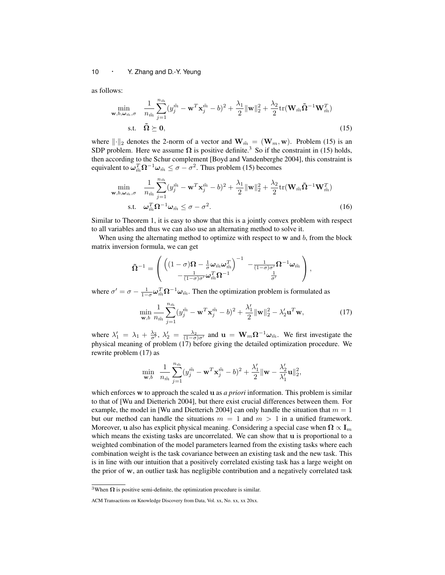as follows:

$$
\min_{\mathbf{w},b,\omega_{\tilde{m}},\sigma} \quad \frac{1}{n_{\tilde{m}}} \sum_{j=1}^{n_{\tilde{m}}} (y_j^{\tilde{m}} - \mathbf{w}^T \mathbf{x}_j^{\tilde{m}} - b)^2 + \frac{\lambda_1}{2} ||\mathbf{w}||_2^2 + \frac{\lambda_2}{2} \text{tr}(\mathbf{W}_{\tilde{m}} \tilde{\mathbf{\Omega}}^{-1} \mathbf{W}_{\tilde{m}}^T)
$$
\n
$$
\text{s.t.} \quad \tilde{\mathbf{\Omega}} \succeq \mathbf{0}, \tag{15}
$$

where  $\|\cdot\|_2$  denotes the 2-norm of a vector and  $\mathbf{W}_{m} = (\mathbf{W}_{m}, \mathbf{w})$ . Problem (15) is an SDP problem. Here we assume  $\Omega$  is positive definite.<sup>3</sup> So if the constraint in (15) holds, then according to the Schur complement [Boyd and Vandenberghe 2004], this constraint is equivalent to  $\omega_{\tilde{m}}^T \Omega^{-1} \omega_{\tilde{m}} \leq \sigma - \sigma^2$ . Thus problem (15) becomes

$$
\min_{\mathbf{w}, b, \omega_{\tilde{m}}, \sigma} \quad \frac{1}{n_{\tilde{m}}} \sum_{j=1}^{n_{\tilde{m}}} (y_j^{\tilde{m}} - \mathbf{w}^T \mathbf{x}_j^{\tilde{m}} - b)^2 + \frac{\lambda_1}{2} ||\mathbf{w}||_2^2 + \frac{\lambda_2}{2} \text{tr}(\mathbf{W}_{\tilde{m}} \tilde{\mathbf{\Omega}}^{-1} \mathbf{W}_{\tilde{m}}^T)
$$
\n
$$
\text{s.t.} \quad \omega_{\tilde{m}}^T \mathbf{\Omega}^{-1} \omega_{\tilde{m}} \le \sigma - \sigma^2. \tag{16}
$$

Similar to Theorem 1, it is easy to show that this is a jointly convex problem with respect to all variables and thus we can also use an alternating method to solve it.

When using the alternating method to optimize with respect to **w** and *b*, from the block matrix inversion formula, we can get

$$
\tilde{\mathbf{\Omega}}^{-1} = \left( \begin{array}{cc} \left( (1-\sigma) \mathbf{\Omega} - \frac{1}{\sigma} \omega_{\tilde{m}} \omega_{\tilde{m}}^T \right)^{-1} & -\frac{1}{(1-\sigma)\sigma'} \mathbf{\Omega}^{-1} \omega_{\tilde{m}} \\ -\frac{1}{(1-\sigma)\sigma'} \omega_{\tilde{m}}^T \mathbf{\Omega}^{-1} & \frac{1}{\sigma'} \end{array} \right),
$$

where  $\sigma' = \sigma - \frac{1}{1-\sigma} \omega_{m}^T \Omega^{-1} \omega_{m}$ . Then the optimization problem is formulated as

$$
\min_{\mathbf{w},b} \frac{1}{n_{\tilde{m}}} \sum_{j=1}^{n_{\tilde{m}}} (y_j^{\tilde{m}} - \mathbf{w}^T \mathbf{x}_j^{\tilde{m}} - b)^2 + \frac{\lambda_1'}{2} ||\mathbf{w}||_2^2 - \lambda_2' \mathbf{u}^T \mathbf{w},
$$
\n(17)

where  $\lambda'_1 = \lambda_1 + \frac{\lambda_2}{\sigma'}$ ,  $\lambda'_2 = \frac{\lambda_2}{(1-\sigma)\sigma'}$  and  $\mathbf{u} = \mathbf{W}_m \Omega^{-1} \boldsymbol{\omega}_{\tilde{m}}$ . We first investigate the physical meaning of problem (17) before giving the detailed optimization procedure. We rewrite problem (17) as

$$
\min_{\mathbf{w},b} \ \ \frac{1}{n_{\tilde{m}}} \sum_{j=1}^{n_{\tilde{m}}} (y^{\tilde{m}}_j - \mathbf{w}^T \mathbf{x}^{\tilde{m}}_j - b)^2 + \frac{\lambda'_1}{2} ||\mathbf{w} - \frac{\lambda'_2}{\lambda'_1} \mathbf{u}||_2^2,
$$

which enforces **w** to approach the scaled **u** as *a priori* information. This problem is similar to that of [Wu and Dietterich 2004], but there exist crucial differences between them. For example, the model in [Wu and Dietterich 2004] can only handle the situation that  $m = 1$ but our method can handle the situations  $m = 1$  and  $m > 1$  in a unified framework. Moreover, **u** also has explicit physical meaning. Considering a special case when  $\Omega \propto I_m$ which means the existing tasks are uncorrelated. We can show that **u** is proportional to a weighted combination of the model parameters learned from the existing tasks where each combination weight is the task covariance between an existing task and the new task. This is in line with our intuition that a positively correlated existing task has a large weight on the prior of **w**, an outlier task has negligible contribution and a negatively correlated task

<sup>&</sup>lt;sup>3</sup>When  $\Omega$  is positive semi-definite, the optimization procedure is similar.

ACM Transactions on Knowledge Discovery from Data, Vol. xx, No. xx, xx 20xx.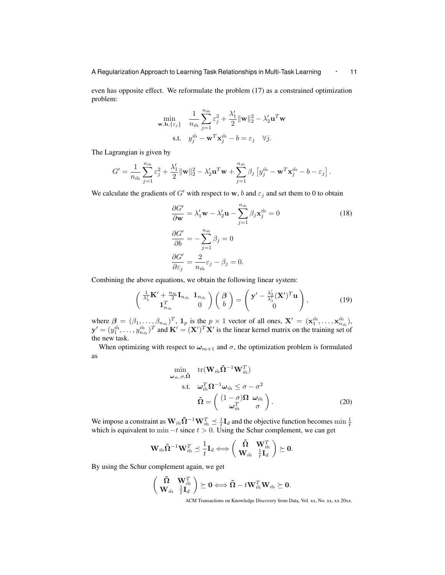even has opposite effect. We reformulate the problem (17) as a constrained optimization problem:

$$
\min_{\mathbf{w}, \mathbf{b}, \{\varepsilon_j\}} \quad \frac{1}{n_{\tilde{m}}} \sum_{j=1}^{n_{\tilde{m}}} \varepsilon_j^2 + \frac{\lambda'_1}{2} ||\mathbf{w}||_2^2 - \lambda'_2 \mathbf{u}^T \mathbf{w}
$$
\n
$$
\text{s.t.} \quad y_j^{\tilde{m}} - \mathbf{w}^T \mathbf{x}_j^{\tilde{m}} - b = \varepsilon_j \quad \forall j.
$$

The Lagrangian is given by

$$
G' = \frac{1}{n_{\tilde{m}}} \sum_{j=1}^{n_{\tilde{m}}} \varepsilon_j^2 + \frac{\lambda'_1}{2} ||\mathbf{w}||_2^2 - \lambda'_2 \mathbf{u}^T \mathbf{w} + \sum_{j=1}^{n_{\tilde{m}}} \beta_j \left[ y_j^{\tilde{m}} - \mathbf{w}^T \mathbf{x}_j^{\tilde{m}} - b - \varepsilon_j \right].
$$

We calculate the gradients of *G'* with respect to **w**, *b* and  $\varepsilon_j$  and set them to 0 to obtain

$$
\frac{\partial G'}{\partial \mathbf{w}} = \lambda'_1 \mathbf{w} - \lambda'_2 \mathbf{u} - \sum_{j=1}^{n_{\tilde{m}}} \beta_j \mathbf{x}_j^{\tilde{m}} = 0
$$
\n
$$
\frac{\partial G'}{\partial b} = -\sum_{j=1}^{n_{\tilde{m}}} \beta_j = 0
$$
\n
$$
\frac{\partial G'}{\partial \varepsilon_j} = \frac{2}{n_{\tilde{m}}} \varepsilon_j - \beta_j = 0.
$$
\n(18)

Combining the above equations, we obtain the following linear system:

$$
\begin{pmatrix}\n\frac{1}{\lambda_1'}\mathbf{K}' + \frac{n_{\tilde{m}}}{2}\mathbf{I}_{n_{\tilde{m}}}\n\end{pmatrix}\n\begin{pmatrix}\n\boldsymbol{\beta} \\
b\n\end{pmatrix} =\n\begin{pmatrix}\n\mathbf{y}' - \frac{\lambda_2'}{\lambda_1'}(\mathbf{X}')^T\mathbf{u} \\
0\n\end{pmatrix},
$$
\n(19)

where  $\beta = (\beta_1, \dots, \beta_{n_{\tilde{m}}})^T$ ,  $\mathbf{1}_p$  is the  $p \times 1$  vector of all ones,  $\mathbf{X}' = (\mathbf{x}_1^{\tilde{m}}, \dots, \mathbf{x}_{n_{\tilde{m}}}^{\tilde{m}})$ ,  $y' = (y_1^{\tilde{m}}, \dots, y_{n_{\tilde{m}}}^{\tilde{m}})^T$  and  $\mathbf{K}' = (\mathbf{X}')^T \mathbf{X}'$  is the linear kernel matrix on the training set of the new task.

When optimizing with respect to  $\omega_{m+1}$  and  $\sigma$ , the optimization problem is formulated as

$$
\min_{\omega_{\tilde{m}}, \sigma, \tilde{\Omega}} \text{tr}(\mathbf{W}_{\tilde{m}} \tilde{\Omega}^{-1} \mathbf{W}_{\tilde{m}}^T) \n\text{s.t.} \quad \omega_{\tilde{m}}^T \Omega^{-1} \omega_{\tilde{m}} \le \sigma - \sigma^2 \n\tilde{\Omega} = \begin{pmatrix} (1 - \sigma) \Omega & \omega_{\tilde{m}} \\ \omega_{\tilde{m}}^T & \sigma \end{pmatrix}.
$$
\n(20)

We impose a constraint as  $\mathbf{W}_{\tilde{m}}\tilde{\mathbf{\Omega}}^{-1}\mathbf{W}_{\tilde{m}}^T \preceq \frac{1}{t}\mathbf{I}_d$  and the objective function becomes min  $\frac{1}{t}$  which is equivalent to min  $-t$  since  $t > 0$ . Using the Schur complement, we can get

$$
\mathbf{W}_{\tilde{m}}\mathbf{\tilde{\Omega}}^{-1}\mathbf{W}_{\tilde{m}}^T \preceq \frac{1}{t}\mathbf{I}_d \Longleftrightarrow \left(\begin{array}{cc} \mathbf{\tilde{\Omega}} & \mathbf{W}_{\tilde{m}}^T \\ \mathbf{W}_{\tilde{m}} & \frac{1}{t}\mathbf{I}_d \end{array}\right) \succeq \mathbf{0}.
$$

By using the Schur complement again, we get

$$
\left(\begin{array}{cc} \tilde{\mathbf{\Omega}} & \mathbf{W}_{\tilde{m}}^T \\ \mathbf{W}_{\tilde{m}} & \frac{1}{t} \mathbf{I}_d \end{array}\right) \succeq \mathbf{0} \Longleftrightarrow \tilde{\mathbf{\Omega}} - t \mathbf{W}_{\tilde{m}}^T \mathbf{W}_{\tilde{m}} \succeq \mathbf{0}.
$$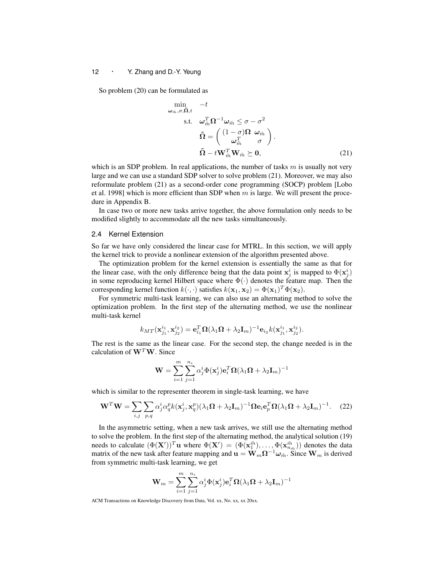So problem (20) can be formulated as

*ωm*˜ *,σ,***Ω˜***,t*

$$
\min_{\tilde{m}, \sigma, \tilde{\Omega}, t} -t
$$
\n
$$
\text{s.t.} \quad \omega_{\tilde{m}}^T \Omega^{-1} \omega_{\tilde{m}} \le \sigma - \sigma^2
$$
\n
$$
\tilde{\Omega} = \begin{pmatrix} (1 - \sigma) \Omega & \omega_{\tilde{m}} \\ \omega_{\tilde{m}}^T & \sigma \end{pmatrix}.
$$
\n
$$
\tilde{\Omega} - t \mathbf{W}_{\tilde{m}}^T \mathbf{W}_{\tilde{m}} \succeq \mathbf{0}, \tag{21}
$$

which is an SDP problem. In real applications, the number of tasks  $m$  is usually not very large and we can use a standard SDP solver to solve problem (21). Moreover, we may also reformulate problem (21) as a second-order cone programming (SOCP) problem [Lobo et al. 1998] which is more efficient than SDP when *m* is large. We will present the procedure in Appendix B.

In case two or more new tasks arrive together, the above formulation only needs to be modified slightly to accommodate all the new tasks simultaneously.

#### 2.4 Kernel Extension

So far we have only considered the linear case for MTRL. In this section, we will apply the kernel trick to provide a nonlinear extension of the algorithm presented above.

The optimization problem for the kernel extension is essentially the same as that for the linear case, with the only difference being that the data point  $\mathbf{x}_j^i$  is mapped to  $\Phi(\mathbf{x}_j^i)$ in some reproducing kernel Hilbert space where Φ(*·*) denotes the feature map. Then the corresponding kernel function  $k(\cdot, \cdot)$  satisfies  $k(\mathbf{x}_1, \mathbf{x}_2) = \Phi(\mathbf{x}_1)^T \Phi(\mathbf{x}_2)$ .

For symmetric multi-task learning, we can also use an alternating method to solve the optimization problem. In the first step of the alternating method, we use the nonlinear multi-task kernel

$$
k_{MT}(\mathbf{x}_{j_1}^{i_1}, \mathbf{x}_{j_2}^{i_2}) = \mathbf{e}_{i_1}^T \mathbf{\Omega} (\lambda_1 \mathbf{\Omega} + \lambda_2 \mathbf{I}_m)^{-1} \mathbf{e}_{i_2} k(\mathbf{x}_{j_1}^{i_1}, \mathbf{x}_{j_2}^{i_2}).
$$

The rest is the same as the linear case. For the second step, the change needed is in the calculation of **W***<sup>T</sup>***W**. Since

$$
\mathbf{W} = \sum_{i=1}^{m}\sum_{j=1}^{n_i} \alpha_j^i \Phi(\mathbf{x}_j^i) \mathbf{e}_i^T \mathbf{\Omega} (\lambda_1 \mathbf{\Omega} + \lambda_2 \mathbf{I}_m)^{-1}
$$

which is similar to the representer theorem in single-task learning, we have

$$
\mathbf{W}^T \mathbf{W} = \sum_{i,j} \sum_{p,q} \alpha_j^i \alpha_q^p k(\mathbf{x}_j^i, \mathbf{x}_q^p) (\lambda_1 \mathbf{\Omega} + \lambda_2 \mathbf{I}_m)^{-1} \mathbf{\Omega} \mathbf{e}_i \mathbf{e}_p^T \mathbf{\Omega} (\lambda_1 \mathbf{\Omega} + \lambda_2 \mathbf{I}_m)^{-1}.
$$
 (22)

In the asymmetric setting, when a new task arrives, we still use the alternating method to solve the problem. In the first step of the alternating method, the analytical solution (19) needs to calculate  $(\Phi(\mathbf{X}'))^T \mathbf{u}$  where  $\Phi(\mathbf{X}') = (\Phi(\mathbf{x}_1^{\tilde{m}}), \dots, \Phi(\mathbf{x}_{n_{\tilde{m}}}))$  denotes the data matrix of the new task after feature mapping and  $\mathbf{u} = \mathbf{W}_m \mathbf{\Omega}^{-1} \boldsymbol{\omega}_{\tilde{m}}$ . Since  $\mathbf{W}_m$  is derived from symmetric multi-task learning, we get

$$
\mathbf{W}_{m} = \sum_{i=1}^{m}\sum_{j=1}^{n_{i}} \alpha_{j}^{i} \Phi(\mathbf{x}_{j}^{i}) \mathbf{e}_{i}^{T} \mathbf{\Omega} (\lambda_{1} \mathbf{\Omega} + \lambda_{2} \mathbf{I}_{m})^{-1}
$$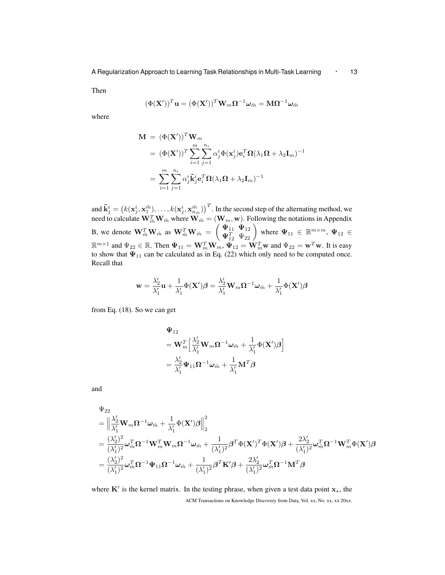Then

$$
(\Phi(\mathbf{X}'))^T\mathbf{u}=(\Phi(\mathbf{X}'))^T\mathbf{W}_m\mathbf{\Omega}^{-1}\boldsymbol{\omega}_{\tilde{m}}=\mathbf{M}\mathbf{\Omega}^{-1}\boldsymbol{\omega}_{\tilde{m}}
$$

where

$$
\mathbf{M} = (\Phi(\mathbf{X}'))^T \mathbf{W}_m
$$
  
=  $(\Phi(\mathbf{X}'))^T \sum_{i=1}^m \sum_{j=1}^{n_i} \alpha_j^i \Phi(\mathbf{x}_j^i) \mathbf{e}_i^T \mathbf{\Omega} (\lambda_1 \mathbf{\Omega} + \lambda_2 \mathbf{I}_m)^{-1}$   
=  $\sum_{i=1}^m \sum_{j=1}^{n_i} \alpha_j^i \tilde{\mathbf{k}}_j^i \mathbf{e}_i^T \mathbf{\Omega} (\lambda_1 \mathbf{\Omega} + \lambda_2 \mathbf{I}_m)^{-1}$ 

and  $\tilde{\mathbf{k}}^i_j=\left(k(\mathbf{x}^i_j,\mathbf{x}^{\tilde{m}}_1),\ldots,k(\mathbf{x}^i_j,\mathbf{x}^{\tilde{m}}_{n_{\tilde{m}}})\right)^T.$  In the second step of the alternating method, we need to calculate  $\mathbf{W}_{\tilde{m}}^T \mathbf{W}_{\tilde{m}}$  where  $\mathbf{W}_{\tilde{m}} = (\mathbf{W}_m, \mathbf{w})$ . Following the notations in Appendix B, we denote  $\mathbf{W}_{\tilde{m}}^T \mathbf{W}_{\tilde{m}}$  as  $\mathbf{W}_{\tilde{m}}^T \mathbf{W}_{\tilde{m}} = \begin{pmatrix} \Psi_{11} & \Psi_{12} \\ \Psi_{11}^T & \Psi_{12} \end{pmatrix}$  $\mathbf{\Psi}_{11} \mathbf{\Psi}_{12} \ \mathbf{\Psi}_{12}^T \mathbf{\Psi}_{22}$  where  $\mathbf{\Psi}_{11} \in \mathbb{R}^{m \times m}$ ,  $\mathbf{\Psi}_{12} \in$  $\mathbb{R}^{m \times 1}$  and  $\Psi_{22} \in \mathbb{R}$ . Then  $\Psi_{11} = \mathbf{W}_m^T \mathbf{W}_m$ ,  $\Psi_{12} = \mathbf{W}_m^T \mathbf{w}$  and  $\Psi_{22} = \mathbf{w}^T \mathbf{w}$ . It is easy to show that  $\Psi_{11}$  can be calculated as in Eq. (22) which only need to be computed once. Recall that

$$
\mathbf{w} = \frac{\lambda_2'}{\lambda_1'} \mathbf{u} + \frac{1}{\lambda_1'} \Phi(\mathbf{X}')\boldsymbol{\beta} = \frac{\lambda_2'}{\lambda_1'} \mathbf{W}_m \boldsymbol{\Omega}^{-1} \boldsymbol{\omega}_{\tilde{m}} + \frac{1}{\lambda_1'} \Phi(\mathbf{X}')\boldsymbol{\beta}
$$

from Eq. (18). So we can get

$$
\begin{aligned} &\boldsymbol{\Psi}_{12}\\ &=\mathbf{W}_{m}^{T}\Big[\frac{\lambda_{2}^{\prime}}{\lambda_{1}^{\prime}}\mathbf{W}_{m}\boldsymbol{\Omega}^{-1}\boldsymbol{\omega}_{\tilde{m}}+\frac{1}{\lambda_{1}^{\prime}}\boldsymbol{\Phi}(\mathbf{X}^{\prime})\boldsymbol{\beta}\Big] \\ &=\frac{\lambda_{2}^{\prime}}{\lambda_{1}^{\prime}}\boldsymbol{\Psi}_{11}\boldsymbol{\Omega}^{-1}\boldsymbol{\omega}_{\tilde{m}}+\frac{1}{\lambda_{1}^{\prime}}\mathbf{M}^{T}\boldsymbol{\beta} \end{aligned}
$$

and

$$
\begin{split} &\Psi_{22}\\ &=\Big\|\frac{\lambda_2'}{\lambda_1'}\mathbf{W}_m\boldsymbol{\Omega}^{-1}\boldsymbol{\omega}_{\tilde{m}}+\frac{1}{\lambda_1'}\boldsymbol{\Phi}(\mathbf{X}')\boldsymbol{\beta}\Big\|_2^2\\ &=\frac{(\lambda_2')^2}{(\lambda_1')^2}\boldsymbol{\omega}_{\tilde{m}}^T\boldsymbol{\Omega}^{-1}\mathbf{W}_m^T\mathbf{W}_m\boldsymbol{\Omega}^{-1}\boldsymbol{\omega}_{\tilde{m}}+\frac{1}{(\lambda_1')^2}\boldsymbol{\beta}^T\boldsymbol{\Phi}(\mathbf{X}')^T\boldsymbol{\Phi}(\mathbf{X}')\boldsymbol{\beta}+\frac{2\lambda_2'}{(\lambda_1')^2}\boldsymbol{\omega}_{\tilde{m}}^T\boldsymbol{\Omega}^{-1}\mathbf{W}_m^T\boldsymbol{\Phi}(\mathbf{X}')\boldsymbol{\beta}\\ &=\frac{(\lambda_2')^2}{(\lambda_1')^2}\boldsymbol{\omega}_{\tilde{m}}^T\boldsymbol{\Omega}^{-1}\boldsymbol{\Psi}_{11}\boldsymbol{\Omega}^{-1}\boldsymbol{\omega}_{\tilde{m}}+\frac{1}{(\lambda_1')^2}\boldsymbol{\beta}^T\mathbf{K}'\boldsymbol{\beta}+\frac{2\lambda_2'}{(\lambda_1')^2}\boldsymbol{\omega}_{\tilde{m}}^T\boldsymbol{\Omega}^{-1}\mathbf{M}^T\boldsymbol{\beta}\end{split}
$$

where **K***′* is the kernel matrix. In the testing phrase, when given a test data point **x***⋆*, the ACM Transactions on Knowledge Discovery from Data, Vol. xx, No. xx, xx 20xx.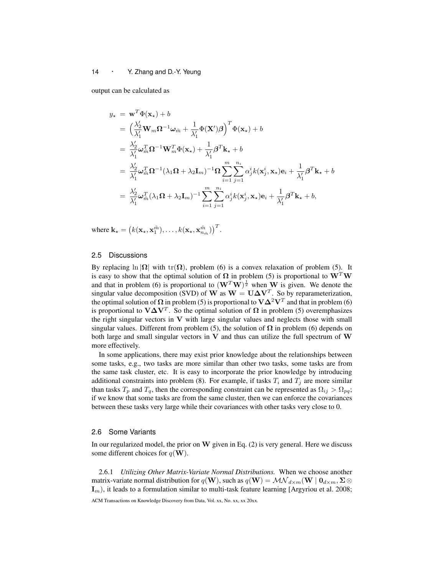output can be calculated as

$$
y_{\star} = \mathbf{w}^{T} \Phi(\mathbf{x}_{\star}) + b
$$
  
\n
$$
= \left(\frac{\lambda_{2}'}{\lambda_{1}'} \mathbf{W}_{m} \mathbf{\Omega}^{-1} \boldsymbol{\omega}_{\tilde{m}} + \frac{1}{\lambda_{1}'} \Phi(\mathbf{X}') \boldsymbol{\beta}\right)^{T} \Phi(\mathbf{x}_{\star}) + b
$$
  
\n
$$
= \frac{\lambda_{2}'}{\lambda_{1}'} \boldsymbol{\omega}_{\tilde{m}}^{T} \mathbf{\Omega}^{-1} \mathbf{W}_{m}^{T} \Phi(\mathbf{x}_{\star}) + \frac{1}{\lambda_{1}'} \boldsymbol{\beta}^{T} \mathbf{k}_{\star} + b
$$
  
\n
$$
= \frac{\lambda_{2}'}{\lambda_{1}'} \boldsymbol{\omega}_{\tilde{m}}^{T} \mathbf{\Omega}^{-1} (\lambda_{1} \mathbf{\Omega} + \lambda_{2} \mathbf{I}_{m})^{-1} \mathbf{\Omega} \sum_{i=1}^{m} \sum_{j=1}^{n_{i}} \alpha_{j}^{i} k(\mathbf{x}_{j}^{i}, \mathbf{x}_{\star}) \mathbf{e}_{i} + \frac{1}{\lambda_{1}'} \boldsymbol{\beta}^{T} \mathbf{k}_{\star} + b
$$
  
\n
$$
= \frac{\lambda_{2}'}{\lambda_{1}'} \boldsymbol{\omega}_{\tilde{m}}^{T} (\lambda_{1} \mathbf{\Omega} + \lambda_{2} \mathbf{I}_{m})^{-1} \sum_{i=1}^{m} \sum_{j=1}^{n_{i}} \alpha_{j}^{i} k(\mathbf{x}_{j}^{i}, \mathbf{x}_{\star}) \mathbf{e}_{i} + \frac{1}{\lambda_{1}'} \boldsymbol{\beta}^{T} \mathbf{k}_{\star} + b,
$$

where  $\mathbf{k}_{\star} = (k(\mathbf{x}_{\star}, \mathbf{x}_{1}^{\tilde{m}}), \ldots, k(\mathbf{x}_{\star}, \mathbf{x}_{n_{\tilde{m}}}^{\tilde{m}}))^{T}$ .

# 2.5 Discussions

By replacing  $\ln |\Omega|$  with tr( $\Omega$ ), problem (6) is a convex relaxation of problem (5). It is easy to show that the optimal solution of  $\Omega$  in problem (5) is proportional to  $W^T W$ and that in problem (6) is proportional to  $(\mathbf{W}^T \mathbf{W})^{\frac{1}{2}}$  when **W** is given. We denote the singular value decomposition (SVD) of **W** as  $W = U \Delta V^T$ . So by reparameterization, the optimal solution of  $\Omega$  in problem (5) is proportional to  $V\Delta^2V^T$  and that in problem (6) is proportional to  $V\Delta V^T$ . So the optimal solution of  $\Omega$  in problem (5) overemphasizes the right singular vectors in **V** with large singular values and neglects those with small singular values. Different from problem (5), the solution of  $\Omega$  in problem (6) depends on both large and small singular vectors in **V** and thus can utilize the full spectrum of **W** more effectively.

In some applications, there may exist prior knowledge about the relationships between some tasks, e.g., two tasks are more similar than other two tasks, some tasks are from the same task cluster, etc. It is easy to incorporate the prior knowledge by introducing additional constraints into problem (8). For example, if tasks  $T_i$  and  $T_j$  are more similar than tasks  $T_p$  and  $T_q$ , then the corresponding constraint can be represented as  $\Omega_{ij} > \Omega_{pq}$ ; if we know that some tasks are from the same cluster, then we can enforce the covariances between these tasks very large while their covariances with other tasks very close to 0.

# 2.6 Some Variants

In our regularized model, the prior on **W** given in Eq. (2) is very general. Here we discuss some different choices for  $q(\mathbf{W})$ .

2.6.1 *Utilizing Other Matrix-Variate Normal Distributions.* When we choose another matrix-variate normal distribution for  $q(\mathbf{W})$ , such as  $q(\mathbf{W}) = \mathcal{MN}_{d \times m}(\mathbf{W} \mid \mathbf{0}_{d \times m}, \Sigma \otimes$ **I***m*), it leads to a formulation similar to multi-task feature learning [Argyriou et al. 2008;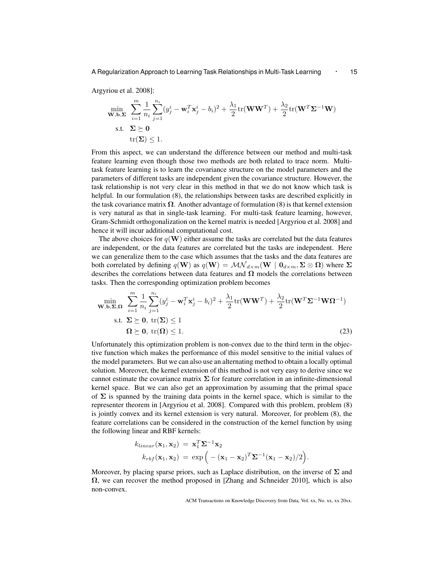Argyriou et al. 2008]:

$$
\min_{\mathbf{W},\mathbf{b},\mathbf{\Sigma}} \sum_{i=1}^{m} \frac{1}{n_i} \sum_{j=1}^{n_i} (y_j^i - \mathbf{w}_i^T \mathbf{x}_j^i - b_i)^2 + \frac{\lambda_1}{2} \text{tr}(\mathbf{W}\mathbf{W}^T) + \frac{\lambda_2}{2} \text{tr}(\mathbf{W}^T \mathbf{\Sigma}^{-1} \mathbf{W})
$$
\n
$$
\text{s.t.} \quad \mathbf{\Sigma} \succeq \mathbf{0}
$$
\n
$$
\text{tr}(\mathbf{\Sigma}) \le 1.
$$

From this aspect, we can understand the difference between our method and multi-task feature learning even though those two methods are both related to trace norm. Multitask feature learning is to learn the covariance structure on the model parameters and the parameters of different tasks are independent given the covariance structure. However, the task relationship is not very clear in this method in that we do not know which task is helpful. In our formulation (8), the relationships between tasks are described explicitly in the task covariance matrix  $\Omega$ . Another advantage of formulation (8) is that kernel extension is very natural as that in single-task learning. For multi-task feature learning, however, Gram-Schmidt orthogonalization on the kernel matrix is needed [Argyriou et al. 2008] and hence it will incur additional computational cost.

The above choices for  $q(\mathbf{W})$  either assume the tasks are correlated but the data features are independent, or the data features are correlated but the tasks are independent. Here we can generalize them to the case which assumes that the tasks and the data features are both correlated by defining  $q(\mathbf{W})$  as  $q(\mathbf{W}) = \mathcal{MN}_{d \times m}(\mathbf{W} \mid \mathbf{0}_{d \times m}, \Sigma \otimes \Omega)$  where  $\Sigma$ describes the correlations between data features and  $\Omega$  models the correlations between tasks. Then the corresponding optimization problem becomes

$$
\min_{\mathbf{W},\mathbf{b},\Sigma,\Omega} \sum_{i=1}^{m} \frac{1}{n_i} \sum_{j=1}^{n_i} (y_j^i - \mathbf{w}_i^T \mathbf{x}_j^i - b_i)^2 + \frac{\lambda_1}{2} \text{tr}(\mathbf{W}\mathbf{W}^T) + \frac{\lambda_2}{2} \text{tr}(\mathbf{W}^T \Sigma^{-1} \mathbf{W} \Omega^{-1})
$$
\n
$$
\text{s.t. } \Sigma \succeq \mathbf{0}, \text{ tr}(\Sigma) \le 1
$$
\n
$$
\Omega \succeq \mathbf{0}, \text{ tr}(\Omega) \le 1. \tag{23}
$$

Unfortunately this optimization problem is non-convex due to the third term in the objective function which makes the performance of this model sensitive to the initial values of the model parameters. But we can also use an alternating method to obtain a locally optimal solution. Moreover, the kernel extension of this method is not very easy to derive since we cannot estimate the covariance matrix  $\Sigma$  for feature correlation in an infinite-dimensional kernel space. But we can also get an approximation by assuming that the primal space of  $\Sigma$  is spanned by the training data points in the kernel space, which is similar to the representer theorem in [Argyriou et al. 2008]. Compared with this problem, problem (8) is jointly convex and its kernel extension is very natural. Moreover, for problem (8), the feature correlations can be considered in the construction of the kernel function by using the following linear and RBF kernels:

$$
k_{linear}(\mathbf{x}_1, \mathbf{x}_2) = \mathbf{x}_1^T \mathbf{\Sigma}^{-1} \mathbf{x}_2
$$
  
\n
$$
k_{rbf}(\mathbf{x}_1, \mathbf{x}_2) = \exp\left(-(\mathbf{x}_1 - \mathbf{x}_2)^T \mathbf{\Sigma}^{-1} (\mathbf{x}_1 - \mathbf{x}_2)/2\right).
$$

Moreover, by placing sparse priors, such as Laplace distribution, on the inverse of **Σ** and **Ω**, we can recover the method proposed in [Zhang and Schneider 2010], which is also non-convex.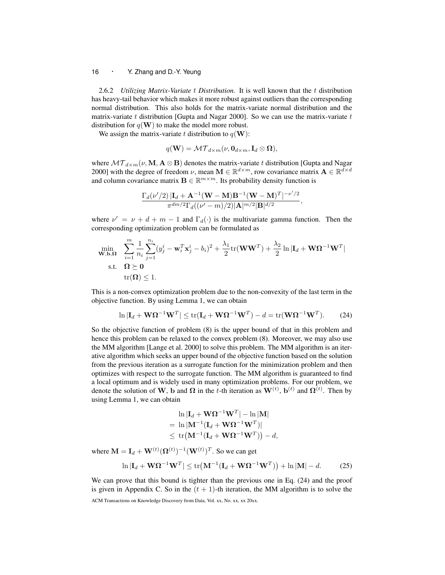2.6.2 *Utilizing Matrix-Variate t Distribution.* It is well known that the *t* distribution has heavy-tail behavior which makes it more robust against outliers than the corresponding normal distribution. This also holds for the matrix-variate normal distribution and the matrix-variate *t* distribution [Gupta and Nagar 2000]. So we can use the matrix-variate *t* distribution for  $q(\mathbf{W})$  to make the model more robust.

We assign the matrix-variate *t* distribution to  $q(\mathbf{W})$ :

 $q(\mathbf{W}) = \mathcal{MT}_{d \times m}(\nu, \mathbf{0}_{d \times m}, \mathbf{I}_d \otimes \mathbf{\Omega}),$ 

where  $MT_{d \times m}(\nu, \mathbf{M}, \mathbf{A} \otimes \mathbf{B})$  denotes the matrix-variate *t* distribution [Gupta and Nagar 2000] with the degree of freedom  $\nu$ , mean  $\mathbf{M} \in \mathbb{R}^{d \times m}$ , row covariance matrix  $\mathbf{A} \in \mathbb{R}^{d \times d}$ and column covariance matrix  $\mathbf{B} \in \mathbb{R}^{m \times m}$ . Its probability density function is

$$
\frac{\Gamma_d(\nu'/2)\left|\mathbf{I}_d + \mathbf{A}^{-1}(\mathbf{W} - \mathbf{M})\mathbf{B}^{-1}(\mathbf{W} - \mathbf{M})^T\right|^{-\nu'/2}}{\pi^{dm/2}\Gamma_d((\nu' - m)/2)|\mathbf{A}|^{m/2}|\mathbf{B}|^{d/2}},
$$

where  $\nu' = \nu + d + m - 1$  and  $\Gamma_d(\cdot)$  is the multivariate gamma function. Then the corresponding optimization problem can be formulated as

$$
\min_{\mathbf{W},\mathbf{b},\mathbf{\Omega}} \quad \sum_{i=1}^{m} \frac{1}{n_i} \sum_{j=1}^{n_i} (y_j^i - \mathbf{w}_i^T \mathbf{x}_j^i - b_i)^2 + \frac{\lambda_1}{2} \text{tr}(\mathbf{W}\mathbf{W}^T) + \frac{\lambda_2}{2} \ln|\mathbf{I}_d + \mathbf{W}\mathbf{\Omega}^{-1}\mathbf{W}^T|
$$
\n
$$
\text{s.t.} \quad \mathbf{\Omega} \succeq \mathbf{0}
$$
\n
$$
\text{tr}(\mathbf{\Omega}) \le 1.
$$

This is a non-convex optimization problem due to the non-convexity of the last term in the objective function. By using Lemma 1, we can obtain

$$
\ln|\mathbf{I}_d + \mathbf{W}\Omega^{-1}\mathbf{W}^T| \le \text{tr}(\mathbf{I}_d + \mathbf{W}\Omega^{-1}\mathbf{W}^T) - d = \text{tr}(\mathbf{W}\Omega^{-1}\mathbf{W}^T). \tag{24}
$$

So the objective function of problem (8) is the upper bound of that in this problem and hence this problem can be relaxed to the convex problem (8). Moreover, we may also use the MM algorithm [Lange et al. 2000] to solve this problem. The MM algorithm is an iterative algorithm which seeks an upper bound of the objective function based on the solution from the previous iteration as a surrogate function for the minimization problem and then optimizes with respect to the surrogate function. The MM algorithm is guaranteed to find a local optimum and is widely used in many optimization problems. For our problem, we denote the solution of **W**, **b** and  $\Omega$  in the *t*-th iteration as  $\mathbf{W}^{(t)}$ ,  $\mathbf{b}^{(t)}$  and  $\Omega^{(t)}$ . Then by using Lemma 1, we can obtain

$$
\begin{aligned} &\ln|\mathbf{I}_d + \mathbf{W}\mathbf{\Omega}^{-1}\mathbf{W}^T| - \ln|\mathbf{M}| \\ &= \ln|\mathbf{M}^{-1}(\mathbf{I}_d + \mathbf{W}\mathbf{\Omega}^{-1}\mathbf{W}^T)| \\ &\leq \text{tr}(\mathbf{M}^{-1}(\mathbf{I}_d + \mathbf{W}\mathbf{\Omega}^{-1}\mathbf{W}^T)) - d, \end{aligned}
$$

where  $M = I_d + W^{(t)}(\Omega^{(t)})^{-1}(W^{(t)})^T$ . So we can get

$$
\ln|\mathbf{I}_d + \mathbf{W}\Omega^{-1}\mathbf{W}^T| \le \text{tr}(\mathbf{M}^{-1}(\mathbf{I}_d + \mathbf{W}\Omega^{-1}\mathbf{W}^T)) + \ln|\mathbf{M}| - d. \tag{25}
$$

We can prove that this bound is tighter than the previous one in Eq. (24) and the proof is given in Appendix C. So in the  $(t + 1)$ -th iteration, the MM algorithm is to solve the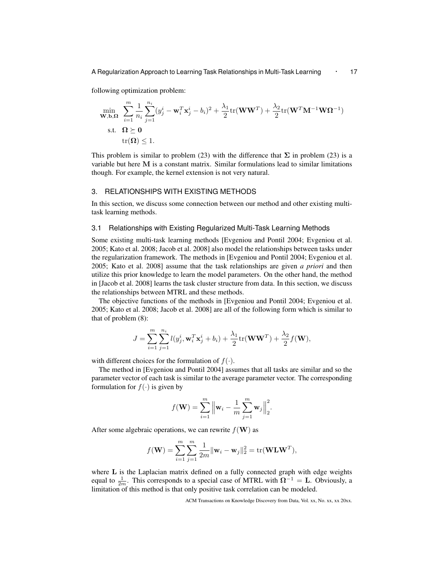A Regularization Approach to Learning Task Relationships in Multi-Task Learning *·* <sup>17</sup>

following optimization problem:

$$
\min_{\mathbf{W},\mathbf{b},\mathbf{\Omega}} \sum_{i=1}^{m} \frac{1}{n_i} \sum_{j=1}^{n_i} (y_j^i - \mathbf{w}_i^T \mathbf{x}_j^i - b_i)^2 + \frac{\lambda_1}{2} \text{tr}(\mathbf{W}\mathbf{W}^T) + \frac{\lambda_2}{2} \text{tr}(\mathbf{W}^T \mathbf{M}^{-1} \mathbf{W} \mathbf{\Omega}^{-1})
$$
\n
$$
\text{s.t.} \quad \mathbf{\Omega} \succeq \mathbf{0}
$$
\n
$$
\text{tr}(\mathbf{\Omega}) \le 1.
$$

This problem is similar to problem (23) with the difference that  $\Sigma$  in problem (23) is a variable but here **M** is a constant matrix. Similar formulations lead to similar limitations though. For example, the kernel extension is not very natural.

# 3. RELATIONSHIPS WITH EXISTING METHODS

In this section, we discuss some connection between our method and other existing multitask learning methods.

# 3.1 Relationships with Existing Regularized Multi-Task Learning Methods

Some existing multi-task learning methods [Evgeniou and Pontil 2004; Evgeniou et al. 2005; Kato et al. 2008; Jacob et al. 2008] also model the relationships between tasks under the regularization framework. The methods in [Evgeniou and Pontil 2004; Evgeniou et al. 2005; Kato et al. 2008] assume that the task relationships are given *a priori* and then utilize this prior knowledge to learn the model parameters. On the other hand, the method in [Jacob et al. 2008] learns the task cluster structure from data. In this section, we discuss the relationships between MTRL and these methods.

The objective functions of the methods in [Evgeniou and Pontil 2004; Evgeniou et al. 2005; Kato et al. 2008; Jacob et al. 2008] are all of the following form which is similar to that of problem (8):

$$
J = \sum_{i=1}^{m} \sum_{j=1}^{n_i} l(y_j^i, \mathbf{w}_i^T \mathbf{x}_j^i + b_i) + \frac{\lambda_1}{2} tr(\mathbf{W} \mathbf{W}^T) + \frac{\lambda_2}{2} f(\mathbf{W}),
$$

with different choices for the formulation of  $f(\cdot)$ .

The method in [Evgeniou and Pontil 2004] assumes that all tasks are similar and so the parameter vector of each task is similar to the average parameter vector. The corresponding formulation for  $f(\cdot)$  is given by

$$
f(\mathbf{W}) = \sum_{i=1}^{m} ||\mathbf{w}_i - \frac{1}{m} \sum_{j=1}^{m} \mathbf{w}_j ||_2^2.
$$

After some algebraic operations, we can rewrite  $f(\mathbf{W})$  as

$$
f(\mathbf{W}) = \sum_{i=1}^{m} \sum_{j=1}^{m} \frac{1}{2m} ||\mathbf{w}_i - \mathbf{w}_j||_2^2 = \text{tr}(\mathbf{W} \mathbf{L} \mathbf{W}^T),
$$

where **L** is the Laplacian matrix defined on a fully connected graph with edge weights equal to  $\frac{1}{2m}$ . This corresponds to a special case of MTRL with  $\Omega^{-1} = L$ . Obviously, a limitation of this method is that only positive task correlation can be modeled.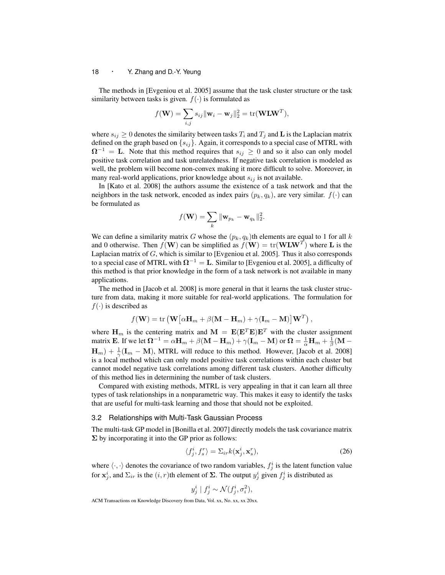The methods in [Evgeniou et al. 2005] assume that the task cluster structure or the task similarity between tasks is given.  $f(\cdot)$  is formulated as

$$
f(\mathbf{W}) = \sum_{i,j} s_{ij} ||\mathbf{w}_i - \mathbf{w}_j||_2^2 = \text{tr}(\mathbf{W} \mathbf{L} \mathbf{W}^T),
$$

where  $s_{ij} \geq 0$  denotes the similarity between tasks  $T_i$  and  $T_j$  and  $\bf{L}$  is the Laplacian matrix defined on the graph based on *{sij}*. Again, it corresponds to a special case of MTRL with  $\Omega^{-1}$  = **L**. Note that this method requires that  $s_{ij} \geq 0$  and so it also can only model positive task correlation and task unrelatedness. If negative task correlation is modeled as well, the problem will become non-convex making it more difficult to solve. Moreover, in many real-world applications, prior knowledge about  $s_{ij}$  is not available.

In [Kato et al. 2008] the authors assume the existence of a task network and that the neighbors in the task network, encoded as index pairs  $(p_k, q_k)$ , are very similar.  $f(\cdot)$  can be formulated as

$$
f(\mathbf{W}) = \sum_{k} \|\mathbf{w}_{p_k} - \mathbf{w}_{q_k}\|_2^2.
$$

We can define a similarity matrix *G* whose the  $(p_k, q_k)$ th elements are equal to 1 for all *k* and 0 otherwise. Then  $f(\mathbf{W})$  can be simplified as  $f(\mathbf{W}) = \text{tr}(\mathbf{W} \mathbf{L} \mathbf{W}^T)$  where **L** is the Laplacian matrix of *G*, which is similar to [Evgeniou et al. 2005]. Thus it also corresponds to a special case of MTRL with  $\Omega^{-1} = L$ . Similar to [Evgeniou et al. 2005], a difficulty of this method is that prior knowledge in the form of a task network is not available in many applications.

The method in [Jacob et al. 2008] is more general in that it learns the task cluster structure from data, making it more suitable for real-world applications. The formulation for  $f(\cdot)$  is described as

$$
f(\mathbf{W}) = \text{tr}(\mathbf{W}\big[\alpha \mathbf{H}_m + \beta(\mathbf{M} - \mathbf{H}_m) + \gamma(\mathbf{I}_m - \mathbf{M})\big]\mathbf{W}^T),
$$

where  $\mathbf{H}_m$  is the centering matrix and  $\mathbf{M} = \mathbf{E}(\mathbf{E}^T \mathbf{E})\mathbf{E}^T$  with the cluster assignment matrix **E**. If we let  $\mathbf{\Omega}^{-1} = \alpha \mathbf{H}_m + \beta(\mathbf{M} - \mathbf{H}_m) + \gamma(\mathbf{I}_m - \mathbf{M})$  or  $\mathbf{\Omega} = \frac{1}{\alpha} \mathbf{H}_m + \frac{1}{\beta}(\mathbf{M} - \mathbf{M})$  $\mathbf{H}_{m}$ ) +  $\frac{1}{\gamma}(\mathbf{I}_{m} - \mathbf{M})$ , MTRL will reduce to this method. However, [Jacob et al. 2008] is a local method which can only model positive task correlations within each cluster but cannot model negative task correlations among different task clusters. Another difficulty of this method lies in determining the number of task clusters.

Compared with existing methods, MTRL is very appealing in that it can learn all three types of task relationships in a nonparametric way. This makes it easy to identify the tasks that are useful for multi-task learning and those that should not be exploited.

#### 3.2 Relationships with Multi-Task Gaussian Process

The multi-task GP model in [Bonilla et al. 2007] directly models the task covariance matrix **Σ** by incorporating it into the GP prior as follows:

$$
\langle f_j^i, f_s^r \rangle = \Sigma_{ir} k(\mathbf{x}_j^i, \mathbf{x}_s^r), \tag{26}
$$

where  $\langle \cdot, \cdot \rangle$  denotes the covariance of two random variables,  $f_j^i$  is the latent function value for  $\mathbf{x}_j^i$ , and  $\Sigma_{ir}$  is the  $(i, r)$ th element of  $\Sigma$ . The output  $y_j^i$  given  $f_j^i$  is distributed as

$$
y_j^i \mid f_j^i \sim \mathcal{N}(f_j^i, \sigma_i^2),
$$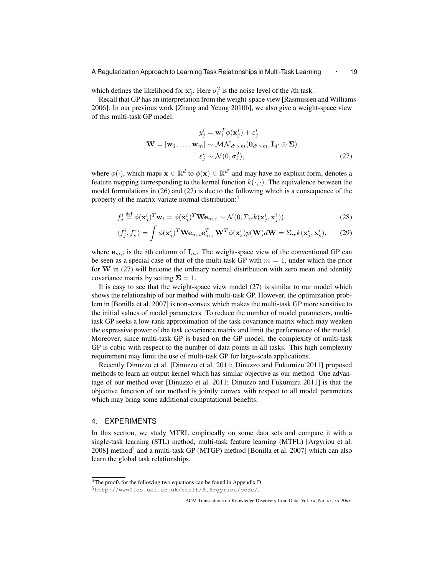which defines the likelihood for  $\mathbf{x}_j^i$ . Here  $\sigma_i^2$  is the noise level of the *i*th task.

Recall that GP has an interpretation from the weight-space view [Rasmussen and Williams 2006]. In our previous work [Zhang and Yeung 2010b], we also give a weight-space view of this multi-task GP model:

$$
y_j^i = \mathbf{w}_i^T \phi(\mathbf{x}_j^i) + \varepsilon_j^i
$$
  

$$
\mathbf{W} = [\mathbf{w}_1, \dots, \mathbf{w}_m] \sim \mathcal{MN}_{d' \times m}(\mathbf{0}_{d' \times m}, \mathbf{I}_{d'} \otimes \mathbf{\Sigma})
$$
  

$$
\varepsilon_j^i \sim \mathcal{N}(0, \sigma_i^2),
$$
 (27)

where  $\phi(\cdot)$ , which maps  $\mathbf{x} \in \mathbb{R}^d$  to  $\phi(\mathbf{x}) \in \mathbb{R}^{d'}$  and may have no explicit form, denotes a feature mapping corresponding to the kernel function  $k(\cdot, \cdot)$ . The equivalence between the model formulations in (26) and (27) is due to the following which is a consequence of the property of the matrix-variate normal distribution:<sup>4</sup>

$$
f_j^i \stackrel{\text{def}}{=} \phi(\mathbf{x}_j^i)^T \mathbf{w}_i = \phi(\mathbf{x}_j^i)^T \mathbf{W} \mathbf{e}_{m,i} \sim \mathcal{N}(0, \Sigma_{ii} k(\mathbf{x}_j^i, \mathbf{x}_j^i))
$$
(28)

$$
\langle f_j^i, f_s^r \rangle = \int \phi(\mathbf{x}_j^i)^T \mathbf{W} \mathbf{e}_{m,i} \mathbf{e}_{m,r}^T \mathbf{W}^T \phi(\mathbf{x}_s^r) p(\mathbf{W}) d\mathbf{W} = \Sigma_{ir} k(\mathbf{x}_j^i, \mathbf{x}_s^r), \qquad (29)
$$

where  $e_{m,i}$  is the *i*th column of  $I_m$ . The weight-space view of the conventional GP can be seen as a special case of that of the multi-task GP with  $m = 1$ , under which the prior for **W** in (27) will become the ordinary normal distribution with zero mean and identity covariance matrix by setting  $\Sigma = 1$ .

It is easy to see that the weight-space view model (27) is similar to our model which shows the relationship of our method with multi-task GP. However, the optimization problem in [Bonilla et al. 2007] is non-convex which makes the multi-task GP more sensitive to the initial values of model parameters. To reduce the number of model parameters, multitask GP seeks a low-rank approximation of the task covariance matrix which may weaken the expressive power of the task covariance matrix and limit the performance of the model. Moreover, since multi-task GP is based on the GP model, the complexity of multi-task GP is cubic with respect to the number of data points in all tasks. This high complexity requirement may limit the use of multi-task GP for large-scale applications.

Recently Dinuzzo et al. [Dinuzzo et al. 2011; Dinuzzo and Fukumizu 2011] proposed methods to learn an output kernel which has similar objective as our method. One advantage of our method over [Dinuzzo et al. 2011; Dinuzzo and Fukumizu 2011] is that the objective function of our method is jointly convex with respect to all model parameters which may bring some additional computational benefits.

#### 4. EXPERIMENTS

In this section, we study MTRL empirically on some data sets and compare it with a single-task learning (STL) method, multi-task feature learning (MTFL) [Argyriou et al. 2008] method<sup>5</sup> and a multi-task GP (MTGP) method [Bonilla et al. 2007] which can also learn the global task relationships.

<sup>4</sup>The proofs for the following two equations can be found in Appendix D.

<sup>5</sup>http://www0.cs.ucl.ac.uk/staff/A.Argyriou/code/.

ACM Transactions on Knowledge Discovery from Data, Vol. xx, No. xx, xx 20xx.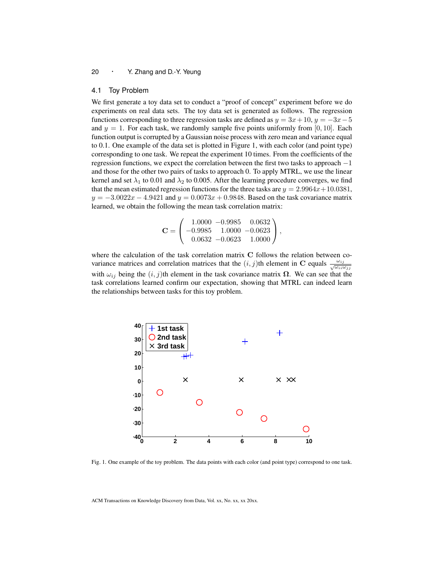#### 4.1 Toy Problem

We first generate a toy data set to conduct a "proof of concept" experiment before we do experiments on real data sets. The toy data set is generated as follows. The regression functions corresponding to three regression tasks are defined as  $y = 3x + 10$ ,  $y = -3x - 5$ and  $y = 1$ . For each task, we randomly sample five points uniformly from [0, 10]. Each function output is corrupted by a Gaussian noise process with zero mean and variance equal to 0.1. One example of the data set is plotted in Figure 1, with each color (and point type) corresponding to one task. We repeat the experiment 10 times. From the coefficients of the regression functions, we expect the correlation between the first two tasks to approach *−*1 and those for the other two pairs of tasks to approach 0. To apply MTRL, we use the linear kernel and set  $\lambda_1$  to 0.01 and  $\lambda_2$  to 0.005. After the learning procedure converges, we find that the mean estimated regression functions for the three tasks are  $y = 2.9964x + 10.0381$ , *y* = −3*.*0022*x* − 4*.*9421 and *y* = 0*.0073x* + 0*.9848.* Based on the task covariance matrix learned, we obtain the following the mean task correlation matrix:

$$
\mathbf{C} = \left( \begin{array}{ccc} 1.0000 & -0.9985 & 0.0632 \\ -0.9985 & 1.0000 & -0.0623 \\ 0.0632 & -0.0623 & 1.0000 \end{array} \right),
$$

where the calculation of the task correlation matrix **C** follows the relation between covariance matrices and correlation matrices that the  $(i, j)$ th element in **C** equals  $\frac{\omega_{ij}}{\sqrt{\omega_{ij}\omega_{ji}}}$ with  $\omega_{ij}$  being the  $(i, j)$ th element in the task covariance matrix  $\Omega$ . We can see that the task correlations learned confirm our expectation, showing that MTRL can indeed learn the relationships between tasks for this toy problem.



Fig. 1. One example of the toy problem. The data points with each color (and point type) correspond to one task.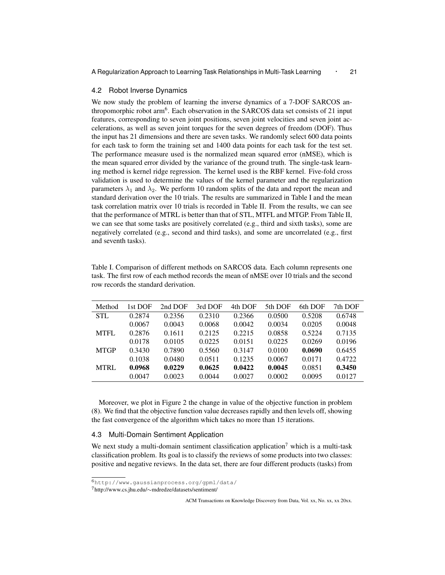#### 4.2 Robot Inverse Dynamics

We now study the problem of learning the inverse dynamics of a 7-DOF SARCOS anthropomorphic robot arm<sup>6</sup>. Each observation in the SARCOS data set consists of 21 input features, corresponding to seven joint positions, seven joint velocities and seven joint accelerations, as well as seven joint torques for the seven degrees of freedom (DOF). Thus the input has 21 dimensions and there are seven tasks. We randomly select 600 data points for each task to form the training set and 1400 data points for each task for the test set. The performance measure used is the normalized mean squared error (nMSE), which is the mean squared error divided by the variance of the ground truth. The single-task learning method is kernel ridge regression. The kernel used is the RBF kernel. Five-fold cross validation is used to determine the values of the kernel parameter and the regularization parameters  $\lambda_1$  and  $\lambda_2$ . We perform 10 random splits of the data and report the mean and standard derivation over the 10 trials. The results are summarized in Table I and the mean task correlation matrix over 10 trials is recorded in Table II. From the results, we can see that the performance of MTRL is better than that of STL, MTFL and MTGP. From Table II, we can see that some tasks are positively correlated (e.g., third and sixth tasks), some are negatively correlated (e.g., second and third tasks), and some are uncorrelated (e.g., first and seventh tasks).

| Method      | lst DOF | 2nd DOF | 3rd DOF | 4th DOF | 5th DOF | 6th DOF | 7th DOF |
|-------------|---------|---------|---------|---------|---------|---------|---------|
| <b>STL</b>  | 0.2874  | 0.2356  | 0.2310  | 0.2366  | 0.0500  | 0.5208  | 0.6748  |
|             | 0.0067  | 0.0043  | 0.0068  | 0.0042  | 0.0034  | 0.0205  | 0.0048  |
| <b>MTFL</b> | 0.2876  | 0.1611  | 0.2125  | 0.2215  | 0.0858  | 0.5224  | 0.7135  |
|             | 0.0178  | 0.0105  | 0.0225  | 0.0151  | 0.0225  | 0.0269  | 0.0196  |
| <b>MTGP</b> | 0.3430  | 0.7890  | 0.5560  | 0.3147  | 0.0100  | 0.0690  | 0.6455  |
|             | 0.1038  | 0.0480  | 0.0511  | 0.1235  | 0.0067  | 0.0171  | 0.4722  |
| <b>MTRL</b> | 0.0968  | 0.0229  | 0.0625  | 0.0422  | 0.0045  | 0.0851  | 0.3450  |
|             | 0.0047  | 0.0023  | 0.0044  | 0.0027  | 0.0002  | 0.0095  | 0.0127  |

Table I. Comparison of different methods on SARCOS data. Each column represents one task. The first row of each method records the mean of nMSE over 10 trials and the second row records the standard derivation.

Moreover, we plot in Figure 2 the change in value of the objective function in problem (8). We find that the objective function value decreases rapidly and then levels off, showing the fast convergence of the algorithm which takes no more than 15 iterations.

#### 4.3 Multi-Domain Sentiment Application

We next study a multi-domain sentiment classification application<sup>7</sup> which is a multi-task classification problem. Its goal is to classify the reviews of some products into two classes: positive and negative reviews. In the data set, there are four different products (tasks) from

<sup>6</sup>http://www.gaussianprocess.org/gpml/data/

<sup>7</sup>http://www.cs.jhu.edu/*∼*mdredze/datasets/sentiment/

ACM Transactions on Knowledge Discovery from Data, Vol. xx, No. xx, xx 20xx.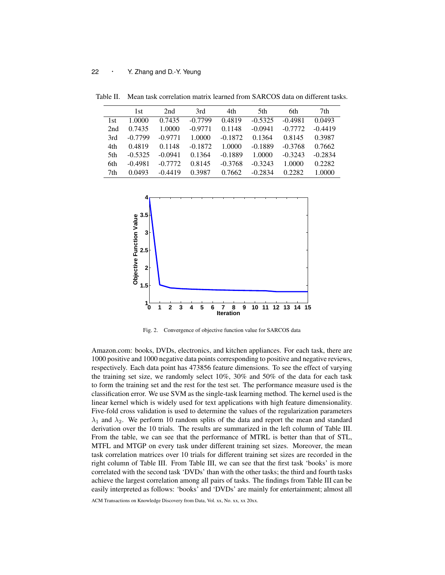|     | 1st       | 2nd       | 3rd       | 4th       | 5th       | 6th       | 7th       |
|-----|-----------|-----------|-----------|-----------|-----------|-----------|-----------|
| 1st | 1.0000    | 0.7435    | $-0.7799$ | 0.4819    | $-0.5325$ | $-0.4981$ | 0.0493    |
| 2nd | 0.7435    | 1.0000    | $-0.9771$ | 0.1148    | $-0.0941$ | $-0.7772$ | $-0.4419$ |
| 3rd | $-0.7799$ | $-0.9771$ | 1.0000    | $-0.1872$ | 0.1364    | 0.8145    | 0.3987    |
| 4th | 0.4819    | 0.1148    | $-0.1872$ | 1.0000    | $-0.1889$ | $-0.3768$ | 0.7662    |
| 5th | $-0.5325$ | $-0.0941$ | 0.1364    | $-0.1889$ | 1.0000    | $-0.3243$ | $-0.2834$ |
| 6th | $-0.4981$ | $-0.7772$ | 0.8145    | $-0.3768$ | $-0.3243$ | 1.0000    | 0.2282    |
| 7th | 0.0493    | $-0.4419$ | 0.3987    | 0.7662    | $-0.2834$ | 0.2282    | 1.0000    |

Table II. Mean task correlation matrix learned from SARCOS data on different tasks.



Fig. 2. Convergence of objective function value for SARCOS data

Amazon.com: books, DVDs, electronics, and kitchen appliances. For each task, there are 1000 positive and 1000 negative data points corresponding to positive and negative reviews, respectively. Each data point has 473856 feature dimensions. To see the effect of varying the training set size, we randomly select 10%, 30% and 50% of the data for each task to form the training set and the rest for the test set. The performance measure used is the classification error. We use SVM as the single-task learning method. The kernel used is the linear kernel which is widely used for text applications with high feature dimensionality. Five-fold cross validation is used to determine the values of the regularization parameters  $\lambda_1$  and  $\lambda_2$ . We perform 10 random splits of the data and report the mean and standard derivation over the 10 trials. The results are summarized in the left column of Table III. From the table, we can see that the performance of MTRL is better than that of STL, MTFL and MTGP on every task under different training set sizes. Moreover, the mean task correlation matrices over 10 trials for different training set sizes are recorded in the right column of Table III. From Table III, we can see that the first task 'books' is more correlated with the second task 'DVDs' than with the other tasks; the third and fourth tasks achieve the largest correlation among all pairs of tasks. The findings from Table III can be easily interpreted as follows: 'books' and 'DVDs' are mainly for entertainment; almost all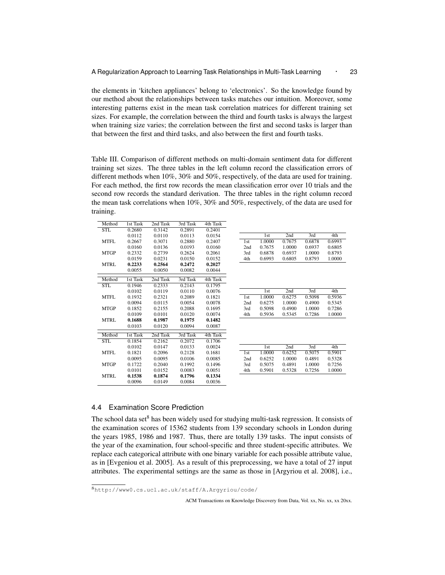the elements in 'kitchen appliances' belong to 'electronics'. So the knowledge found by our method about the relationships between tasks matches our intuition. Moreover, some interesting patterns exist in the mean task correlation matrices for different training set sizes. For example, the correlation between the third and fourth tasks is always the largest when training size varies; the correlation between the first and second tasks is larger than that between the first and third tasks, and also between the first and fourth tasks.

Table III. Comparison of different methods on multi-domain sentiment data for different training set sizes. The three tables in the left column record the classification errors of different methods when 10%, 30% and 50%, respectively, of the data are used for training. For each method, the first row records the mean classification error over 10 trials and the second row records the standard derivation. The three tables in the right column record the mean task correlations when 10%, 30% and 50%, respectively, of the data are used for training.

| <b>STL</b><br>0.2680<br>0.3142<br>0.2891<br>0.2401<br>3rd<br>2nd<br>0.0112<br>0.0110<br>0.0113<br>0.0154<br>1st<br>0.7675<br><b>MTFL</b><br>0.2880<br>0.2407<br>1.0000<br>0.6878<br>0.2667<br>0.3071<br>1st<br>0.0160<br>0.0136<br>0.0193<br>0.0160<br>2nd<br>0.7675<br>1.0000<br>0.6937<br><b>MTGP</b><br>0.2332<br>0.2739<br>0.2624<br>0.2061<br>3rd<br>0.6878<br>0.6937<br>1.0000<br>4th<br>0.6805<br>0.0159<br>0.0231<br>0.0150<br>0.0152<br>0.6993<br>0.8793<br>0.2564<br>0.2472<br>0.2027<br><b>MTRL</b><br>0.2233<br>0.0055<br>0.0082<br>0.0050<br>0.0044<br>2nd Task<br>3rd Task<br>4th Task<br>1st Task<br>Method<br><b>STL</b><br>0.1946<br>0.2333<br>0.2143<br>0.1795<br>3rd<br>2nd<br>4th<br>1st<br>0.0102<br>0.0119<br>0.0110<br>0.0076<br><b>MTFL</b><br>0.2321<br>0.2089<br>0.1821<br>1.0000<br>0.6275<br>0.5098<br>0.5936<br>0.1932<br>1st<br>0.6275<br>1.0000<br>0.5345<br>0.0094<br>0.0115<br>0.0054<br>0.0078<br>2nd<br>0.4900<br>0.5098<br>0.4900<br>0.7286<br><b>MTGP</b><br>0.1852<br>0.2155<br>0.2088<br>0.1695<br>3rd<br>1.0000<br>0.0109<br>0.0120<br>4th<br>0.5936<br>0.5345<br>0.7286<br>0.0101<br>0.0074<br>1.0000<br><b>MTRL</b><br>0.1688<br>0.1987<br>0.1975<br>0.1482<br>0.0103<br>0.0120<br>0.0094<br>0.0087<br>2nd Task<br>3rd Task<br>4th Task<br>1st Task<br>Method<br><b>STL</b><br>0.1854<br>0.2162<br>0.2072<br>0.1706<br>3rd<br>1st<br>2nd<br>4th<br>0.0102<br>0.0147<br>0.0133<br>0.0024<br>0.6252<br><b>MTFL</b><br>1.0000<br>0.5075<br>0.5901<br>0.1821<br>0.2096<br>0.2128<br>0.1681<br>1st<br>0.0106<br>0.6252<br>1.0000<br>0.5328<br>0.0095<br>0.0095<br>0.0085<br>2nd<br>0.4891<br><b>MTGP</b><br>0.7256<br>0.1722<br>0.2040<br>0.1992<br>0.1496<br>3rd<br>0.5075<br>0.4891<br>1.0000<br>0.0051<br>4th<br>0.5901<br>0.5328<br>0.7256<br>1.0000<br>0.0101<br>0.0152<br>0.0083<br><b>MTRL</b><br>0.1796<br>0.1538<br>0.1874<br>0.1334<br>0.0096<br>0.0084<br>0.0036<br>0.0149 | Method | 1st Task | 2nd Task | 3rd Task | 4th Task |  |  |        |
|----------------------------------------------------------------------------------------------------------------------------------------------------------------------------------------------------------------------------------------------------------------------------------------------------------------------------------------------------------------------------------------------------------------------------------------------------------------------------------------------------------------------------------------------------------------------------------------------------------------------------------------------------------------------------------------------------------------------------------------------------------------------------------------------------------------------------------------------------------------------------------------------------------------------------------------------------------------------------------------------------------------------------------------------------------------------------------------------------------------------------------------------------------------------------------------------------------------------------------------------------------------------------------------------------------------------------------------------------------------------------------------------------------------------------------------------------------------------------------------------------------------------------------------------------------------------------------------------------------------------------------------------------------------------------------------------------------------------------------------------------------------------------------------------------------------------------------------------------------------------------------------------------------------------------|--------|----------|----------|----------|----------|--|--|--------|
|                                                                                                                                                                                                                                                                                                                                                                                                                                                                                                                                                                                                                                                                                                                                                                                                                                                                                                                                                                                                                                                                                                                                                                                                                                                                                                                                                                                                                                                                                                                                                                                                                                                                                                                                                                                                                                                                                                                            |        |          |          |          |          |  |  |        |
|                                                                                                                                                                                                                                                                                                                                                                                                                                                                                                                                                                                                                                                                                                                                                                                                                                                                                                                                                                                                                                                                                                                                                                                                                                                                                                                                                                                                                                                                                                                                                                                                                                                                                                                                                                                                                                                                                                                            |        |          |          |          |          |  |  | 4th    |
|                                                                                                                                                                                                                                                                                                                                                                                                                                                                                                                                                                                                                                                                                                                                                                                                                                                                                                                                                                                                                                                                                                                                                                                                                                                                                                                                                                                                                                                                                                                                                                                                                                                                                                                                                                                                                                                                                                                            |        |          |          |          |          |  |  | 0.6993 |
|                                                                                                                                                                                                                                                                                                                                                                                                                                                                                                                                                                                                                                                                                                                                                                                                                                                                                                                                                                                                                                                                                                                                                                                                                                                                                                                                                                                                                                                                                                                                                                                                                                                                                                                                                                                                                                                                                                                            |        |          |          |          |          |  |  | 0.6805 |
|                                                                                                                                                                                                                                                                                                                                                                                                                                                                                                                                                                                                                                                                                                                                                                                                                                                                                                                                                                                                                                                                                                                                                                                                                                                                                                                                                                                                                                                                                                                                                                                                                                                                                                                                                                                                                                                                                                                            |        |          |          |          |          |  |  | 0.8793 |
|                                                                                                                                                                                                                                                                                                                                                                                                                                                                                                                                                                                                                                                                                                                                                                                                                                                                                                                                                                                                                                                                                                                                                                                                                                                                                                                                                                                                                                                                                                                                                                                                                                                                                                                                                                                                                                                                                                                            |        |          |          |          |          |  |  | 1.0000 |
|                                                                                                                                                                                                                                                                                                                                                                                                                                                                                                                                                                                                                                                                                                                                                                                                                                                                                                                                                                                                                                                                                                                                                                                                                                                                                                                                                                                                                                                                                                                                                                                                                                                                                                                                                                                                                                                                                                                            |        |          |          |          |          |  |  |        |
|                                                                                                                                                                                                                                                                                                                                                                                                                                                                                                                                                                                                                                                                                                                                                                                                                                                                                                                                                                                                                                                                                                                                                                                                                                                                                                                                                                                                                                                                                                                                                                                                                                                                                                                                                                                                                                                                                                                            |        |          |          |          |          |  |  |        |
|                                                                                                                                                                                                                                                                                                                                                                                                                                                                                                                                                                                                                                                                                                                                                                                                                                                                                                                                                                                                                                                                                                                                                                                                                                                                                                                                                                                                                                                                                                                                                                                                                                                                                                                                                                                                                                                                                                                            |        |          |          |          |          |  |  |        |
|                                                                                                                                                                                                                                                                                                                                                                                                                                                                                                                                                                                                                                                                                                                                                                                                                                                                                                                                                                                                                                                                                                                                                                                                                                                                                                                                                                                                                                                                                                                                                                                                                                                                                                                                                                                                                                                                                                                            |        |          |          |          |          |  |  |        |
|                                                                                                                                                                                                                                                                                                                                                                                                                                                                                                                                                                                                                                                                                                                                                                                                                                                                                                                                                                                                                                                                                                                                                                                                                                                                                                                                                                                                                                                                                                                                                                                                                                                                                                                                                                                                                                                                                                                            |        |          |          |          |          |  |  |        |
|                                                                                                                                                                                                                                                                                                                                                                                                                                                                                                                                                                                                                                                                                                                                                                                                                                                                                                                                                                                                                                                                                                                                                                                                                                                                                                                                                                                                                                                                                                                                                                                                                                                                                                                                                                                                                                                                                                                            |        |          |          |          |          |  |  |        |
|                                                                                                                                                                                                                                                                                                                                                                                                                                                                                                                                                                                                                                                                                                                                                                                                                                                                                                                                                                                                                                                                                                                                                                                                                                                                                                                                                                                                                                                                                                                                                                                                                                                                                                                                                                                                                                                                                                                            |        |          |          |          |          |  |  |        |
|                                                                                                                                                                                                                                                                                                                                                                                                                                                                                                                                                                                                                                                                                                                                                                                                                                                                                                                                                                                                                                                                                                                                                                                                                                                                                                                                                                                                                                                                                                                                                                                                                                                                                                                                                                                                                                                                                                                            |        |          |          |          |          |  |  |        |
|                                                                                                                                                                                                                                                                                                                                                                                                                                                                                                                                                                                                                                                                                                                                                                                                                                                                                                                                                                                                                                                                                                                                                                                                                                                                                                                                                                                                                                                                                                                                                                                                                                                                                                                                                                                                                                                                                                                            |        |          |          |          |          |  |  |        |
|                                                                                                                                                                                                                                                                                                                                                                                                                                                                                                                                                                                                                                                                                                                                                                                                                                                                                                                                                                                                                                                                                                                                                                                                                                                                                                                                                                                                                                                                                                                                                                                                                                                                                                                                                                                                                                                                                                                            |        |          |          |          |          |  |  |        |
|                                                                                                                                                                                                                                                                                                                                                                                                                                                                                                                                                                                                                                                                                                                                                                                                                                                                                                                                                                                                                                                                                                                                                                                                                                                                                                                                                                                                                                                                                                                                                                                                                                                                                                                                                                                                                                                                                                                            |        |          |          |          |          |  |  |        |
|                                                                                                                                                                                                                                                                                                                                                                                                                                                                                                                                                                                                                                                                                                                                                                                                                                                                                                                                                                                                                                                                                                                                                                                                                                                                                                                                                                                                                                                                                                                                                                                                                                                                                                                                                                                                                                                                                                                            |        |          |          |          |          |  |  |        |
|                                                                                                                                                                                                                                                                                                                                                                                                                                                                                                                                                                                                                                                                                                                                                                                                                                                                                                                                                                                                                                                                                                                                                                                                                                                                                                                                                                                                                                                                                                                                                                                                                                                                                                                                                                                                                                                                                                                            |        |          |          |          |          |  |  |        |
|                                                                                                                                                                                                                                                                                                                                                                                                                                                                                                                                                                                                                                                                                                                                                                                                                                                                                                                                                                                                                                                                                                                                                                                                                                                                                                                                                                                                                                                                                                                                                                                                                                                                                                                                                                                                                                                                                                                            |        |          |          |          |          |  |  |        |
|                                                                                                                                                                                                                                                                                                                                                                                                                                                                                                                                                                                                                                                                                                                                                                                                                                                                                                                                                                                                                                                                                                                                                                                                                                                                                                                                                                                                                                                                                                                                                                                                                                                                                                                                                                                                                                                                                                                            |        |          |          |          |          |  |  |        |
|                                                                                                                                                                                                                                                                                                                                                                                                                                                                                                                                                                                                                                                                                                                                                                                                                                                                                                                                                                                                                                                                                                                                                                                                                                                                                                                                                                                                                                                                                                                                                                                                                                                                                                                                                                                                                                                                                                                            |        |          |          |          |          |  |  |        |
|                                                                                                                                                                                                                                                                                                                                                                                                                                                                                                                                                                                                                                                                                                                                                                                                                                                                                                                                                                                                                                                                                                                                                                                                                                                                                                                                                                                                                                                                                                                                                                                                                                                                                                                                                                                                                                                                                                                            |        |          |          |          |          |  |  |        |
|                                                                                                                                                                                                                                                                                                                                                                                                                                                                                                                                                                                                                                                                                                                                                                                                                                                                                                                                                                                                                                                                                                                                                                                                                                                                                                                                                                                                                                                                                                                                                                                                                                                                                                                                                                                                                                                                                                                            |        |          |          |          |          |  |  |        |
|                                                                                                                                                                                                                                                                                                                                                                                                                                                                                                                                                                                                                                                                                                                                                                                                                                                                                                                                                                                                                                                                                                                                                                                                                                                                                                                                                                                                                                                                                                                                                                                                                                                                                                                                                                                                                                                                                                                            |        |          |          |          |          |  |  |        |
|                                                                                                                                                                                                                                                                                                                                                                                                                                                                                                                                                                                                                                                                                                                                                                                                                                                                                                                                                                                                                                                                                                                                                                                                                                                                                                                                                                                                                                                                                                                                                                                                                                                                                                                                                                                                                                                                                                                            |        |          |          |          |          |  |  |        |

# 4.4 Examination Score Prediction

The school data set<sup>8</sup> has been widely used for studying multi-task regression. It consists of the examination scores of 15362 students from 139 secondary schools in London during the years 1985, 1986 and 1987. Thus, there are totally 139 tasks. The input consists of the year of the examination, four school-specific and three student-specific attributes. We replace each categorical attribute with one binary variable for each possible attribute value, as in [Evgeniou et al. 2005]. As a result of this preprocessing, we have a total of 27 input attributes. The experimental settings are the same as those in [Argyriou et al. 2008], i.e.,

<sup>8</sup>http://www0.cs.ucl.ac.uk/staff/A.Argyriou/code/

ACM Transactions on Knowledge Discovery from Data, Vol. xx, No. xx, xx 20xx.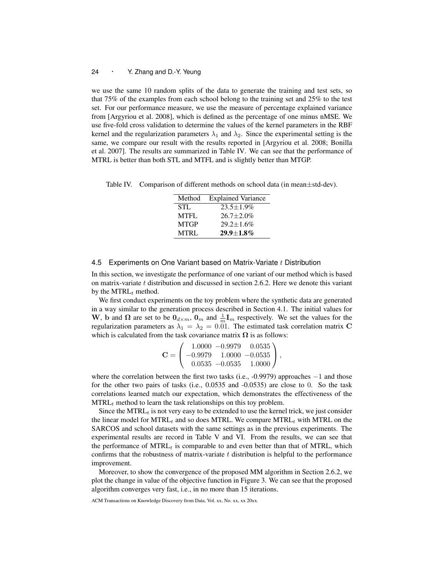we use the same 10 random splits of the data to generate the training and test sets, so that 75% of the examples from each school belong to the training set and 25% to the test set. For our performance measure, we use the measure of percentage explained variance from [Argyriou et al. 2008], which is defined as the percentage of one minus nMSE. We use five-fold cross validation to determine the values of the kernel parameters in the RBF kernel and the regularization parameters  $\lambda_1$  and  $\lambda_2$ . Since the experimental setting is the same, we compare our result with the results reported in [Argyriou et al. 2008; Bonilla et al. 2007]. The results are summarized in Table IV. We can see that the performance of MTRL is better than both STL and MTFL and is slightly better than MTGP.

Table IV. Comparison of different methods on school data (in mean*±*std-dev).

| Method      | <b>Explained Variance</b> |
|-------------|---------------------------|
| STL         | $23.5 + 1.9\%$            |
| MTFL        | $26.7 + 2.0\%$            |
| <b>MTGP</b> | $29.2 \pm 1.6\%$          |
| <b>MTRL</b> | $29.9 + 1.8\%$            |

## 4.5 Experiments on One Variant based on Matrix-Variate *t* Distribution

In this section, we investigate the performance of one variant of our method which is based on matrix-variate *t* distribution and discussed in section 2.6.2. Here we denote this variant by the MTRL*<sup>t</sup>* method.

We first conduct experiments on the toy problem where the synthetic data are generated in a way similar to the generation process described in Section 4.1. The initial values for **W**, **b** and  $\Omega$  are set to be  $0_{d \times m}$ ,  $0_m$  and  $\frac{1}{m}$ **I**<sub>m</sub> respectively. We set the values for the regularization parameters as  $\lambda_1 = \lambda_2 = 0.01$ . The estimated task correlation matrix **C** which is calculated from the task covariance matrix  $\Omega$  is as follows:

$$
\mathbf{C} = \left(\begin{array}{ccc} 1.0000 & -0.9979 & 0.0535 \\ -0.9979 & 1.0000 & -0.0535 \\ 0.0535 & -0.0535 & 1.0000 \end{array}\right),
$$

where the correlation between the first two tasks (i.e., -0.9979) approaches *−*1 and those for the other two pairs of tasks (i.e., 0.0535 and -0.0535) are close to 0. So the task correlations learned match our expectation, which demonstrates the effectiveness of the MTRL<sub>t</sub> method to learn the task relationships on this toy problem.

Since the  $MTRL<sub>t</sub>$  is not very easy to be extended to use the kernel trick, we just consider the linear model for  $MTRL_t$  and so does MTRL. We compare  $MTRL_t$  with MTRL on the SARCOS and school datasets with the same settings as in the previous experiments. The experimental results are record in Table V and VI. From the results, we can see that the performance of  $MTRL_t$  is comparable to and even better than that of MTRL, which confirms that the robustness of matrix-variate *t* distribution is helpful to the performance improvement.

Moreover, to show the convergence of the proposed MM algorithm in Section 2.6.2, we plot the change in value of the objective function in Figure 3. We can see that the proposed algorithm converges very fast, i.e., in no more than 15 iterations.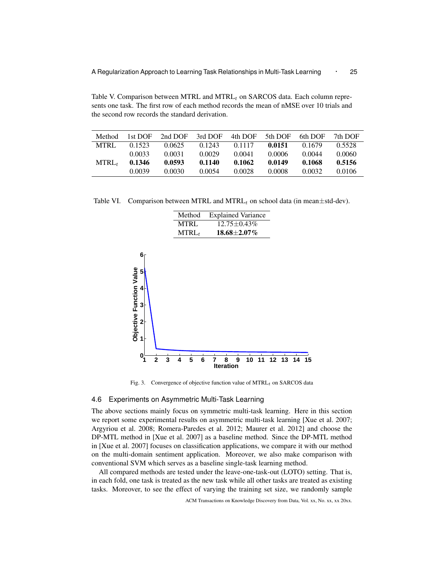Table V. Comparison between MTRL and MTRL*<sup>t</sup>* on SARCOS data. Each column represents one task. The first row of each method records the mean of nMSE over 10 trials and the second row records the standard derivation.

| Method            | 1st DOF | 2nd DOF | 3rd DOF | 4th DOF | 5th DOF | 6th DOF | 7th DOF |
|-------------------|---------|---------|---------|---------|---------|---------|---------|
| <b>MTRL</b>       | 0.1523  | 0.0625  | 0.1243  | 0.1117  | 0.0151  | 0.1679  | 0.5528  |
|                   | 0.0033  | 0.0031  | 0.0029  | 0.0041  | 0.0006  | 0.0044  | 0.0060  |
| MTRL <sub>t</sub> | 0.1346  | 0.0593  | 0.1140  | 0.1062  | 0.0149  | 0.1068  | 0.5156  |
|                   | 0.0039  | 0.0030  | 0.0054  | 0.0028  | 0.0008  | 0.0032  | 0.0106  |

Table VI. Comparison between MTRL and MTRL*<sup>t</sup>* on school data (in mean*±*std-dev).



Fig. 3. Convergence of objective function value of MTRL*t* on SARCOS data

# 4.6 Experiments on Asymmetric Multi-Task Learning

The above sections mainly focus on symmetric multi-task learning. Here in this section we report some experimental results on asymmetric multi-task learning [Xue et al. 2007; Argyriou et al. 2008; Romera-Paredes et al. 2012; Maurer et al. 2012] and choose the DP-MTL method in [Xue et al. 2007] as a baseline method. Since the DP-MTL method in [Xue et al. 2007] focuses on classification applications, we compare it with our method on the multi-domain sentiment application. Moreover, we also make comparison with conventional SVM which serves as a baseline single-task learning method.

All compared methods are tested under the leave-one-task-out (LOTO) setting. That is, in each fold, one task is treated as the new task while all other tasks are treated as existing tasks. Moreover, to see the effect of varying the training set size, we randomly sample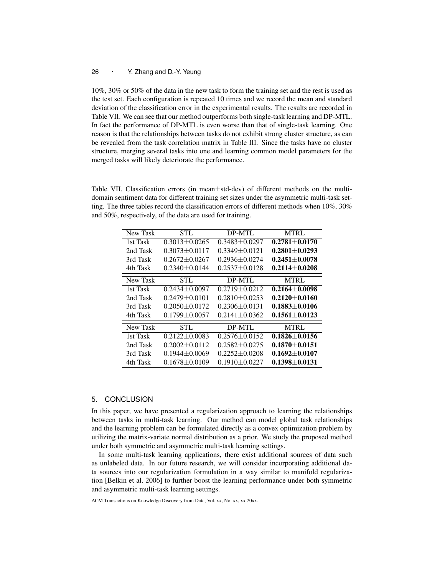10%, 30% or 50% of the data in the new task to form the training set and the rest is used as the test set. Each configuration is repeated 10 times and we record the mean and standard deviation of the classification error in the experimental results. The results are recorded in Table VII. We can see that our method outperforms both single-task learning and DP-MTL. In fact the performance of DP-MTL is even worse than that of single-task learning. One reason is that the relationships between tasks do not exhibit strong cluster structure, as can be revealed from the task correlation matrix in Table III. Since the tasks have no cluster structure, merging several tasks into one and learning common model parameters for the merged tasks will likely deteriorate the performance.

Table VII. Classification errors (in mean*±*std-dev) of different methods on the multidomain sentiment data for different training set sizes under the asymmetric multi-task setting. The three tables record the classification errors of different methods when 10%, 30% and 50%, respectively, of the data are used for training.

| New Task | STL                 | DP-MTL              | <b>MTRL</b>       |
|----------|---------------------|---------------------|-------------------|
| 1st Task | $0.3013 + 0.0265$   | $0.3483 + 0.0297$   | $0.2781 + 0.0170$ |
| 2nd Task | $0.3073 + 0.0117$   | $0.3349 + 0.0121$   | $0.2801 + 0.0293$ |
| 3rd Task | $0.2672 + 0.0267$   | $0.2936 \pm 0.0274$ | $0.2451 + 0.0078$ |
| 4th Task | $0.2340 + 0.0144$   | $0.2537 \pm 0.0128$ | $0.2114 + 0.0208$ |
| New Task | STL.                | DP-MTL              | <b>MTRL</b>       |
| 1st Task | $0.2434 + 0.0097$   | $0.2719 + 0.0212$   | $0.2164 + 0.0098$ |
| 2nd Task | $0.2479 + 0.0101$   | $0.2810 + 0.0253$   | $0.2120 + 0.0160$ |
| 3rd Task | $0.2050 + 0.0172$   | $0.2306 + 0.0131$   | $0.1883 + 0.0106$ |
| 4th Task | $0.1799 \pm 0.0057$ | $0.2141 + 0.0362$   | $0.1561 + 0.0123$ |
| New Task | STL                 | DP-MTL              | <b>MTRL</b>       |
| 1st Task | $0.2122 + 0.0083$   | $0.2576 + 0.0152$   | $0.1826 + 0.0156$ |
| 2nd Task | $0.2002 + 0.0112$   | $0.2582 + 0.0275$   | $0.1870 + 0.0151$ |
| 3rd Task | $0.1944 \pm 0.0069$ | $0.2252 + 0.0208$   | $0.1692 + 0.0107$ |
| 4th Task | $0.1678 + 0.0109$   | $0.1910 + 0.0227$   | $0.1398 + 0.0131$ |

# 5. CONCLUSION

In this paper, we have presented a regularization approach to learning the relationships between tasks in multi-task learning. Our method can model global task relationships and the learning problem can be formulated directly as a convex optimization problem by utilizing the matrix-variate normal distribution as a prior. We study the proposed method under both symmetric and asymmetric multi-task learning settings.

In some multi-task learning applications, there exist additional sources of data such as unlabeled data. In our future research, we will consider incorporating additional data sources into our regularization formulation in a way similar to manifold regularization [Belkin et al. 2006] to further boost the learning performance under both symmetric and asymmetric multi-task learning settings.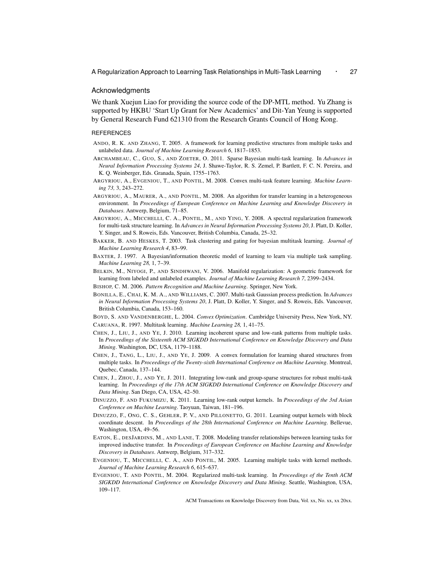A Regularization Approach to Learning Task Relationships in Multi-Task Learning *·* <sup>27</sup>

#### Acknowledgments

We thank Xuejun Liao for providing the source code of the DP-MTL method. Yu Zhang is supported by HKBU 'Start Up Grant for New Academics' and Dit-Yan Yeung is supported by General Research Fund 621310 from the Research Grants Council of Hong Kong.

#### **REFERENCES**

- ANDO, R. K. AND ZHANG, T. 2005. A framework for learning predictive structures from multiple tasks and unlabeled data. *Journal of Machine Learning Research 6*, 1817–1853.
- ARCHAMBEAU, C., GUO, S., AND ZOETER, O. 2011. Sparse Bayesian multi-task learning. In *Advances in Neural Information Processing Systems 24*, J. Shawe-Taylor, R. S. Zemel, P. Bartlett, F. C. N. Pereira, and K. Q. Weinberger, Eds. Granada, Spain, 1755–1763.
- ARGYRIOU, A., EVGENIOU, T., AND PONTIL, M. 2008. Convex multi-task feature learning. *Machine Learning 73,* 3, 243–272.
- ARGYRIOU, A., MAURER, A., AND PONTIL, M. 2008. An algorithm for transfer learning in a heterogeneous environment. In *Proceedings of European Conference on Machine Learning and Knowledge Discovery in Databases*. Antwerp, Belgium, 71–85.
- ARGYRIOU, A., MICCHELLI, C. A., PONTIL, M., AND YING, Y. 2008. A spectral regularization framework for multi-task structure learning. In *Advances in Neural Information Processing Systems 20*, J. Platt, D. Koller, Y. Singer, and S. Roweis, Eds. Vancouver, British Columbia, Canada, 25–32.
- BAKKER, B. AND HESKES, T. 2003. Task clustering and gating for bayesian multitask learning. *Journal of Machine Learning Research 4*, 83–99.
- BAXTER, J. 1997. A Bayesian/information theoretic model of learning to learn via multiple task sampling. *Machine Learning 28,* 1, 7–39.
- BELKIN, M., NIYOGI, P., AND SINDHWANI, V. 2006. Manifold regularization: A geometric framework for learning from labeled and unlabeled examples. *Journal of Machine Learning Research 7*, 2399–2434.
- BISHOP, C. M. 2006. *Pattern Recognition and Machine Learning*. Springer, New York.
- BONILLA, E., CHAI, K. M. A., AND WILLIAMS, C. 2007. Multi-task Gaussian process prediction. In *Advances in Neural Information Processing Systems 20*, J. Platt, D. Koller, Y. Singer, and S. Roweis, Eds. Vancouver, British Columbia, Canada, 153–160.
- BOYD, S. AND VANDENBERGHE, L. 2004. *Convex Optimization*. Cambridge University Press, New York, NY. CARUANA, R. 1997. Multitask learning. *Machine Learning 28,* 1, 41–75.
- CHEN, J., LIU, J., AND YE, J. 2010. Learning incoherent sparse and low-rank patterns from multiple tasks. In *Proceedings of the Sixteenth ACM SIGKDD International Conference on Knowledge Discovery and Data Mining*. Washington, DC, USA, 1179–1188.
- CHEN, J., TANG, L., LIU, J., AND YE, J. 2009. A convex formulation for learning shared structures from multiple tasks. In *Proceedings of the Twenty-sixth International Conference on Machine Learning*. Montreal, Quebec, Canada, 137–144.
- CHEN, J., ZHOU, J., AND YE, J. 2011. Integrating low-rank and group-sparse structures for robust multi-task learning. In *Proceedings of the 17th ACM SIGKDD International Conference on Knowledge Discovery and Data Mining*. San Diego, CA, USA, 42–50.
- DINUZZO, F. AND FUKUMIZU, K. 2011. Learning low-rank output kernels. In *Proceedings of the 3rd Asian Conference on Machine Learning*. Taoyuan, Taiwan, 181–196.
- DINUZZO, F., ONG, C. S., GEHLER, P. V., AND PILLONETTO, G. 2011. Learning output kernels with block coordinate descent. In *Proceedings of the 28th International Conference on Machine Learning*. Bellevue, Washington, USA, 49–56.
- EATON, E., DESJARDINS, M., AND LANE, T. 2008. Modeling transfer relationships between learning tasks for improved inductive transfer. In *Proceedings of European Conference on Machine Learning and Knowledge Discovery in Databases*. Antwerp, Belgium, 317–332.
- EVGENIOU, T., MICCHELLI, C. A., AND PONTIL, M. 2005. Learning multiple tasks with kernel methods. *Journal of Machine Learning Research 6*, 615–637.
- EVGENIOU, T. AND PONTIL, M. 2004. Regularized multi-task learning. In *Proceedings of the Tenth ACM SIGKDD International Conference on Knowledge Discovery and Data Mining*. Seattle, Washington, USA, 109–117.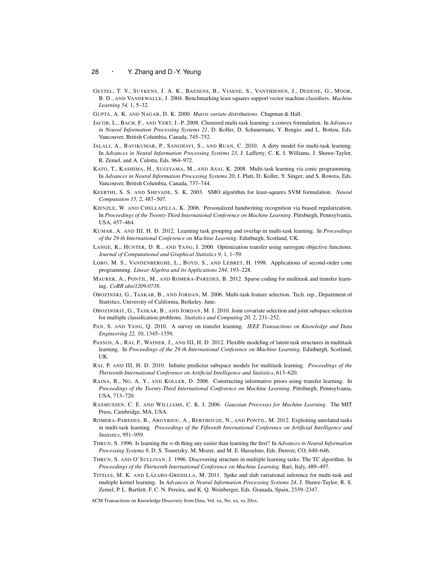- GESTEL, T. V., SUYKENS, J. A. K., BAESENS, B., VIAENE, S., VANTHIENEN, J., DEDENE, G., MOOR, B. D., AND VANDEWALLE, J. 2004. Benchmarking least squares support vector machine classifiers. *Machine Learning 54,* 1, 5–32.
- GUPTA, A. K. AND NAGAR, D. K. 2000. *Matrix variate distributions*. Chapman & Hall.
- JACOB, L., BACH, F., AND VERT, J.-P. 2008. Clustered multi-task learning: a convex formulation. In *Advances in Neural Information Processing Systems 21*, D. Koller, D. Schuurmans, Y. Bengio, and L. Bottou, Eds. Vancouver, British Columbia, Canada, 745–752.
- JALALI, A., RAVIKUMAR, P., SANGHAVI, S., AND RUAN, C. 2010. A dirty model for multi-task learning. In *Advances in Neural Information Processing Systems 23*, J. Lafferty, C. K. I. Williams, J. Shawe-Taylor, R. Zemel, and A. Culotta, Eds. 964–972.
- KATO, T., KASHIMA, H., SUGIYAMA, M., AND ASAI, K. 2008. Multi-task learning via conic programming. In *Advances in Neural Information Processing Systems 20*, J. Platt, D. Koller, Y. Singer, and S. Roweis, Eds. Vancouver, British Columbia, Canada, 737–744.
- KEERTHI, S. S. AND SHEVADE, S. K. 2003. SMO algorithm for least-squares SVM formulation. *Neural Computation 15,* 2, 487–507.
- KIENZLE, W. AND CHELLAPILLA, K. 2006. Personalized handwriting recognition via biased regularization. In *Proceedings of the Twenty-Third International Conference on Machine Learning*. Pittsburgh, Pennsylvania, USA, 457–464.
- KUMAR, A. AND III, H. D. 2012. Learning task grouping and overlap in multi-task learning. In *Proceedings of the 29 th International Conference on Machine Learning*. Edinburgh, Scotland, UK.
- LANGE, K., HUNTER, D. R., AND YANG, I. 2000. Optimization transfer using surrogate objective functions. *Journal of Computational and Graphical Statistics 9,* 1, 1–59.
- LOBO, M. S., VANDENBERGHE, L., BOYD, S., AND LEBRET, H. 1998. Applications of second-order cone programming. *Linear Algebra and its Applications 284*, 193–228.
- MAURER, A., PONTIL, M., AND ROMERA-PAREDES, B. 2012. Sparse coding for multitask and transfer learning. *CoRR abs/1209.0738*.
- OBOZINSKI, G., TASKAR, B., AND JORDAN, M. 2006. Multi-task feature selection. Tech. rep., Department of Statistics, University of California, Berkeley. June.
- OBOZINSKI1, G., TASKAR, B., AND JORDAN, M. I. 2010. Joint covariate selection and joint subspace selection for multiple classification problems. *Statistics and Computing 20,* 2, 231–252.
- PAN, S. AND YANG, Q. 2010. A survey on transfer learning. *IEEE Transactions on Knowledge and Data Engineering 22,* 10, 1345–1359.
- PASSOS, A., RAI, P., WAINER, J., AND III, H. D. 2012. Flexible modeling of latent task structures in multitask learning. In *Proceedings of the 29 th International Conference on Machine Learning*. Edinburgh, Scotland, UK.
- RAI, P. AND III, H. D. 2010. Infinite predictor subspace models for multitask learning. *Proceedings of the Thirteenth International Conference on Artificial Intelligence and Statistics*, 613–620.
- RAINA, R., NG, A. Y., AND KOLLER, D. 2006. Constructing informative priors using transfer learning. In *Proceedings of the Twenty-Third International Conference on Machine Learning*. Pittsburgh, Pennsylvania, USA, 713–720.
- RASMUSSEN, C. E. AND WILLIAMS, C. K. I. 2006. *Gaussian Processes for Machine Learning*. The MIT Press, Cambridge, MA, USA.
- ROMERA-PAREDES, B., ARGYRIOU, A., BERTHOUZE, N., AND PONTIL, M. 2012. Exploiting unrelated tasks in multi-task learning. *Proceedings of the Fifteenth International Conference on Artificial Intelligence and Statistics*, 951–959.
- THRUN, S. 1996. Is learning the *n*-th thing any easier than learning the first? In *Advances in Neural Information Processing Systems 8*, D. S. Touretzky, M. Mozer, and M. E. Hasselmo, Eds. Denver, CO, 640–646.
- THRUN, S. AND O'SULLIVAN, J. 1996. Discovering structure in multiple learning tasks: The TC algorithm. In *Proceedings of the Thirteenth International Conference on Machine Learning*. Bari, Italy, 489–497.
- TITSIAS, M. K. AND LÁZARO-GREDILLA, M. 2011. Spike and slab variational inference for multi-task and multiple kernel learning. In *Advances in Neural Information Processing Systems 24*, J. Shawe-Taylor, R. S. Zemel, P. L. Bartlett, F. C. N. Pereira, and K. Q. Weinberger, Eds. Granada, Spain, 2339–2347.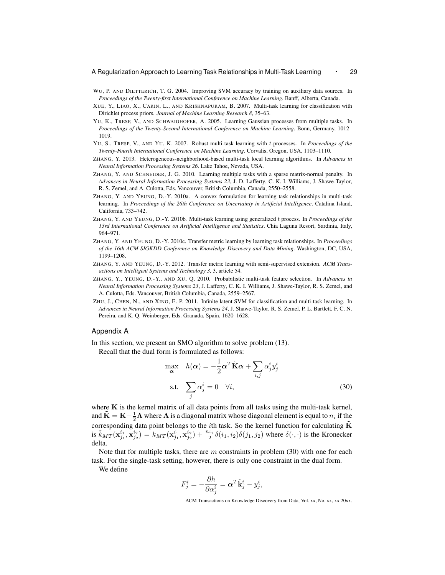- WU, P. AND DIETTERICH, T. G. 2004. Improving SVM accuracy by training on auxiliary data sources. In *Proceedings of the Twenty-first International Conference on Machine Learning*. Banff, Alberta, Canada.
- XUE, Y., LIAO, X., CARIN, L., AND KRISHNAPURAM, B. 2007. Multi-task learning for classification with Dirichlet process priors. *Journal of Machine Learning Research 8*, 35–63.
- YU, K., TRESP, V., AND SCHWAIGHOFER, A. 2005. Learning Gaussian processes from multiple tasks. In *Proceedings of the Twenty-Second International Conference on Machine Learning*. Bonn, Germany, 1012– 1019.
- YU, S., TRESP, V., AND YU, K. 2007. Robust multi-task learning with *t*-processes. In *Proceedings of the Twenty-Fourth International Conference on Machine Learning*. Corvalis, Oregon, USA, 1103–1110.
- ZHANG, Y. 2013. Heterogeneous-neighborhood-based multi-task local learning algorithms. In *Advances in Neural Information Processing Systems 26*. Lake Tahoe, Nevada, USA.
- ZHANG, Y. AND SCHNEIDER, J. G. 2010. Learning multiple tasks with a sparse matrix-normal penalty. In *Advances in Neural Information Processing Systems 23*, J. D. Lafferty, C. K. I. Williams, J. Shawe-Taylor, R. S. Zemel, and A. Culotta, Eds. Vancouver, British Columbia, Canada, 2550–2558.
- ZHANG, Y. AND YEUNG, D.-Y. 2010a. A convex formulation for learning task relationships in multi-task learning. In *Proceedings of the 26th Conference on Uncertainty in Artificial Intelligence*. Catalina Island, California, 733–742.
- ZHANG, Y. AND YEUNG, D.-Y. 2010b. Multi-task learning using generalized *t* process. In *Proceedings of the 13rd International Conference on Artificial Intelligence and Statistics*. Chia Laguna Resort, Sardinia, Italy, 964–971.
- ZHANG, Y. AND YEUNG, D.-Y. 2010c. Transfer metric learning by learning task relationships. In *Proceedings of the 16th ACM SIGKDD Conference on Knowledge Discovery and Data Mining*. Washington, DC, USA, 1199–1208.
- ZHANG, Y. AND YEUNG, D.-Y. 2012. Transfer metric learning with semi-supervised extension. *ACM Transactions on Intelligent Systems and Technology 3,* 3, article 54.
- ZHANG, Y., YEUNG, D.-Y., AND XU, Q. 2010. Probabilistic multi-task feature selection. In *Advances in Neural Information Processing Systems 23*, J. Lafferty, C. K. I. Williams, J. Shawe-Taylor, R. S. Zemel, and A. Culotta, Eds. Vancouver, British Columbia, Canada, 2559–2567.
- ZHU, J., CHEN, N., AND XING, E. P. 2011. Infinite latent SVM for classification and multi-task learning. In *Advances in Neural Information Processing Systems 24*, J. Shawe-Taylor, R. S. Zemel, P. L. Bartlett, F. C. N. Pereira, and K. Q. Weinberger, Eds. Granada, Spain, 1620–1628.

## Appendix A

In this section, we present an SMO algorithm to solve problem (13).

Recall that the dual form is formulated as follows:

$$
\max_{\mathbf{\alpha}} \quad h(\mathbf{\alpha}) = -\frac{1}{2}\mathbf{\alpha}^T \tilde{\mathbf{K}} \mathbf{\alpha} + \sum_{i,j} \alpha_j^i y_j^i
$$
  
s.t. 
$$
\sum_j \alpha_j^i = 0 \quad \forall i,
$$
 (30)

where **K** is the kernel matrix of all data points from all tasks using the multi-task kernel, and  $\tilde{\mathbf{K}} = \mathbf{K} + \frac{1}{2}\mathbf{\Lambda}$  where  $\mathbf{\Lambda}$  is a diagonal matrix whose diagonal element is equal to  $n_i$  if the corresponding data point belongs to the *i*th task. So the kernel function for calculating  $\tilde{\mathbf{K}}$ is  $\tilde{k}_{MT}(\mathbf{x}_{j_1}^{i_1}, \mathbf{x}_{j_2}^{i_2}) = k_{MT}(\mathbf{x}_{j_1}^{i_1}, \mathbf{x}_{j_2}^{i_2}) + \frac{n_{i_1}}{2} \delta(i_1, i_2) \delta(j_1, j_2)$  where  $\delta(\cdot, \cdot)$  is the Kronecker delta.

Note that for multiple tasks, there are *m* constraints in problem (30) with one for each task. For the single-task setting, however, there is only one constraint in the dual form.

We define

$$
F^i_j = -\frac{\partial h}{\partial \alpha^i_j} = \boldsymbol{\alpha}^T \tilde{\mathbf{k}}^i_j - y^i_j,
$$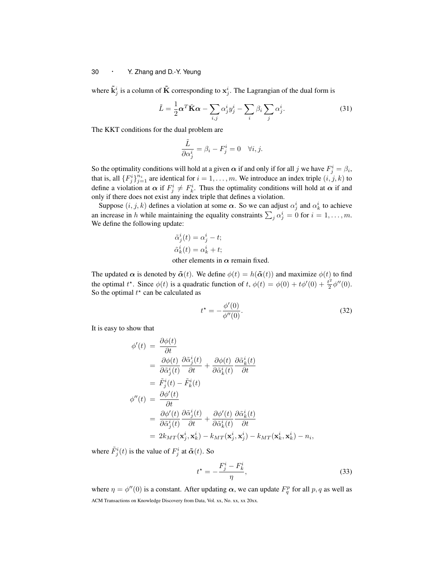where  $\tilde{\mathbf{k}}^i_j$  is a column of  $\tilde{\mathbf{K}}$  corresponding to  $\mathbf{x}^i_j$ . The Lagrangian of the dual form is

$$
\tilde{L} = \frac{1}{2} \alpha^T \tilde{\mathbf{K}} \alpha - \sum_{i,j} \alpha_j^i y_j^i - \sum_i \beta_i \sum_j \alpha_j^i.
$$
 (31)

The KKT conditions for the dual problem are

$$
\frac{\tilde{L}}{\partial \alpha_j^i} = \beta_i - F_j^i = 0 \quad \forall i, j.
$$

So the optimality conditions will hold at a given  $\alpha$  if and only if for all *j* we have  $F_j^i = \beta_i$ , that is, all  $\{F_j^i\}_{j=1}^{n_i}$  are identical for  $i = 1, \ldots, m$ . We introduce an index triple  $(i, j, k)$  to define a violation at  $\alpha$  if  $F^i_j \neq F^i_k$ . Thus the optimality conditions will hold at  $\alpha$  if and only if there does not exist any index triple that defines a violation.

Suppose  $(i, j, k)$  defines a violation at some  $\alpha$ . So we can adjust  $\alpha_j^i$  and  $\alpha_k^i$  to achieve an increase in *h* while maintaining the equality constraints  $\sum_j \alpha_j^i = 0$  for  $i = 1, \ldots, m$ . We define the following update:

$$
\tilde{\alpha}_j^i(t) = \alpha_j^i - t;
$$
  

$$
\tilde{\alpha}_k^i(t) = \alpha_k^i + t;
$$

other elements in *α* remain fixed.

The updated  $\alpha$  is denoted by  $\tilde{\alpha}(t)$ . We define  $\phi(t) = h(\tilde{\alpha}(t))$  and maximize  $\phi(t)$  to find the optimal  $t^*$ . Since  $\phi(t)$  is a quadratic function of  $t$ ,  $\phi(t) = \phi(0) + t\phi'(0) + \frac{t^2}{2}$  $\frac{t^2}{2}\phi''(0).$ So the optimal  $t^*$  can be calculated as

$$
t^* = -\frac{\phi'(0)}{\phi''(0)}.\tag{32}
$$

It is easy to show that

$$
\begin{split}\n\phi'(t) &= \frac{\partial \phi(t)}{\partial t} \\
&= \frac{\partial \phi(t)}{\partial \tilde{\alpha}_j^i(t)} \frac{\partial \tilde{\alpha}_j^i(t)}{\partial t} + \frac{\partial \phi(t)}{\partial \tilde{\alpha}_k^i(t)} \frac{\partial \tilde{\alpha}_k^i(t)}{\partial t} \\
&= \tilde{F}_j^i(t) - \tilde{F}_k^i(t) \\
\phi''(t) &= \frac{\partial \phi'(t)}{\partial t} \\
&= \frac{\partial \phi'(t)}{\partial \tilde{\alpha}_j^i(t)} \frac{\partial \tilde{\alpha}_j^i(t)}{\partial t} + \frac{\partial \phi'(t)}{\partial \tilde{\alpha}_k^i(t)} \frac{\partial \tilde{\alpha}_k^i(t)}{\partial t} \\
&= 2k_{MT}(\mathbf{x}_j^i, \mathbf{x}_k^i) - k_{MT}(\mathbf{x}_j^i, \mathbf{x}_j^i) - k_{MT}(\mathbf{x}_k^i, \mathbf{x}_k^i) - n_i,\n\end{split}
$$

where  $\tilde{F}^i_j(t)$  is the value of  $F^i_j$  at  $\tilde{\alpha}(t)$ . So

$$
t^* = -\frac{F_j^i - F_k^i}{\eta},\tag{33}
$$

where  $\eta = \phi''(0)$  is a constant. After updating  $\alpha$ , we can update  $F_q^p$  for all  $p, q$  as well as ACM Transactions on Knowledge Discovery from Data, Vol. xx, No. xx, xx 20xx.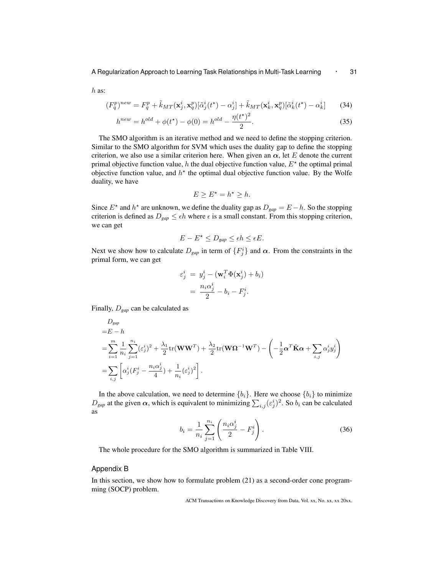*h* as:

$$
(F_q^p)^{new} = F_q^p + \tilde{k}_{MT}(\mathbf{x}_j^i, \mathbf{x}_q^p) [\tilde{\alpha}_j^i(t^*) - \alpha_j^i] + \tilde{k}_{MT}(\mathbf{x}_k^i, \mathbf{x}_q^p) [\tilde{\alpha}_k^i(t^*) - \alpha_k^i]
$$
(34)

$$
h^{new} = h^{old} + \phi(t^*) - \phi(0) = h^{old} - \frac{\eta(t^*)^2}{2}.
$$
\n(35)

The SMO algorithm is an iterative method and we need to define the stopping criterion. Similar to the SMO algorithm for SVM which uses the duality gap to define the stopping criterion, we also use a similar criterion here. When given an  $\alpha$ , let *E* denote the current primal objective function value, *h* the dual objective function value, *E<sup>⋆</sup>* the optimal primal objective function value, and  $h^*$  the optimal dual objective function value. By the Wolfe duality, we have

$$
E \ge E^\star = h^\star \ge h.
$$

Since  $E^*$  and  $h^*$  are unknown, we define the duality gap as  $D_{gap} = E - h$ . So the stopping criterion is defined as  $D_{gap} \leq \epsilon h$  where  $\epsilon$  is a small constant. From this stopping criterion, we can get

$$
E - E^* \le D_{\text{gap}} \le \epsilon h \le \epsilon E.
$$

Next we show how to calculate  $D_{gap}$  in term of  $\{F_j^i\}$  and  $\alpha$ . From the constraints in the primal form, we can get

$$
\varepsilon_j^i = y_j^i - (\mathbf{w}_i^T \Phi(\mathbf{x}_j^i) + b_i)
$$

$$
= \frac{n_i \alpha_j^i}{2} - b_i - F_j^i.
$$

Finally, *Dgap* can be calculated as

$$
D_{gap}
$$
  
= $E - h$   
= $\sum_{i=1}^{m} \frac{1}{n_i} \sum_{j=1}^{n_i} (\varepsilon_j^i)^2 + \frac{\lambda_1}{2} \text{tr}(\mathbf{W}\mathbf{W}^T) + \frac{\lambda_2}{2} \text{tr}(\mathbf{W}\mathbf{\Omega}^{-1}\mathbf{W}^T) - \left(-\frac{1}{2} \mathbf{\alpha}^T \tilde{\mathbf{K}} \mathbf{\alpha} + \sum_{i,j} \alpha_j^i y_j^i\right)$   
= $\sum_{i,j} \left[\alpha_j^i (F_j^i - \frac{n_i \alpha_j^i}{4}) + \frac{1}{n_i} (\varepsilon_j^i)^2\right].$ 

In the above calculation, we need to determine  ${b_i}$ . Here we choose  ${b_i}$  to minimize  $D_{gap}$  at the given  $\alpha$ , which is equivalent to minimizing  $\sum_{i,j} (\varepsilon_j^i)^2$ . So  $b_i$  can be calculated as

$$
b_i = \frac{1}{n_i} \sum_{j=1}^{n_i} \left( \frac{n_i \alpha_j^i}{2} - F_j^i \right).
$$
 (36)

The whole procedure for the SMO algorithm is summarized in Table VIII.

## Appendix B

In this section, we show how to formulate problem (21) as a second-order cone programming (SOCP) problem.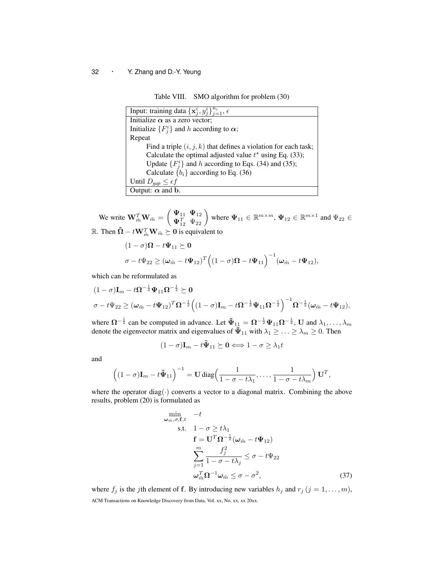Table VIII. SMO algorithm for problem (30)

| Input: training data $\{x_i^i, y_i^i\}_{i=1}^{n_i}, \epsilon$     |
|-------------------------------------------------------------------|
| Initialize $\alpha$ as a zero vector;                             |
| Initialize $\{F_i^i\}$ and h according to $\alpha$ ;              |
| Repeat                                                            |
| Find a triple $(i, j, k)$ that defines a violation for each task; |
| Calculate the optimal adjusted value $t^*$ using Eq. (33);        |
| Update $\{F_i^i\}$ and h according to Eqs. (34) and (35);         |
| Calculate ${b_i}$ according to Eq. (36)                           |
| Until $D_{\text{gap}} \leq \epsilon f$                            |
| Output: $\alpha$ and b.                                           |

We write  $\mathbf{W}_{\tilde{m}}^T \mathbf{W}_{\tilde{m}} = \begin{pmatrix} \Psi_{11} & \Psi_{12} \\ \Psi^T & \Psi_{22} \end{pmatrix}$  $\Psi_{11}^{T}$   $\Psi_{12}$  where  $\Psi_{11} \in \mathbb{R}^{m \times m}$ ,  $\Psi_{12} \in \mathbb{R}^{m \times 1}$  and  $\Psi_{22} \in \mathbb{R}^{m \times 2}$  $\mathbb{R}.$  Then  $\mathbf{\tilde{\Omega}} − t\mathbf{W}_{\tilde{m}}^T\mathbf{W}_{\tilde{m}} \succeq \mathbf{0}$  is equivalent to

$$
(1 - \sigma)\Omega - t\Psi_{11} \succeq 0
$$
  

$$
\sigma - t\Psi_{22} \geq (\omega_{\tilde{m}} - t\Psi_{12})^T ((1 - \sigma)\Omega - t\Psi_{11})^{-1} (\omega_{\tilde{m}} - t\Psi_{12}),
$$

which can be reformulated as

$$
(1-\sigma)\mathbf{I}_m - t\Omega^{-\frac{1}{2}}\mathbf{\Psi}_{11}\Omega^{-\frac{1}{2}} \succeq \mathbf{0}
$$
  

$$
\sigma - t\mathbf{\Psi}_{22} \geq (\omega_{\tilde{m}} - t\mathbf{\Psi}_{12})^T\Omega^{-\frac{1}{2}} \Big( (1-\sigma)\mathbf{I}_m - t\Omega^{-\frac{1}{2}}\mathbf{\Psi}_{11}\Omega^{-\frac{1}{2}} \Big)^{-1} \Omega^{-\frac{1}{2}} (\omega_{\tilde{m}} - t\mathbf{\Psi}_{12}),
$$

where  $\Omega^{-\frac{1}{2}}$  can be computed in advance. Let  $\tilde{\Psi}_{11} = \Omega^{-\frac{1}{2}}\Psi_{11}\Omega^{-\frac{1}{2}}$ , U and  $\lambda_1,\ldots,\lambda_m$ denote the eigenvector matrix and eigenvalues of  $\tilde{\Psi}_{11}$  with  $\lambda_1 \geq \ldots \geq \lambda_m \geq 0$ . Then

$$
(1 - \sigma)\mathbf{I}_m - t\mathbf{\tilde{\Psi}}_{11} \succeq \mathbf{0} \Longleftrightarrow 1 - \sigma \ge \lambda_1 t
$$

and

$$
\left((1-\sigma)\mathbf{I}_m - t\tilde{\mathbf{\Psi}}_{11}\right)^{-1} = \mathbf{U} \operatorname{diag}\left(\frac{1}{1-\sigma-t\lambda_1},\ldots,\frac{1}{1-\sigma-t\lambda_m}\right) \mathbf{U}^T,
$$

where the operator diag( $\cdot$ ) converts a vector to a diagonal matrix. Combining the above results, problem (20) is formulated as

$$
\min_{\omega_{\tilde{m}}, \sigma, \mathbf{f}, t} -t
$$
\n
$$
\text{s.t.} \quad 1 - \sigma \ge t\lambda_1
$$
\n
$$
\mathbf{f} = \mathbf{U}^T \mathbf{\Omega}^{-\frac{1}{2}} (\omega_{\tilde{m}} - t\mathbf{\Psi}_{12})
$$
\n
$$
\sum_{j=1}^m \frac{f_j^2}{1 - \sigma - t\lambda_j} \le \sigma - t\mathbf{\Psi}_{22}
$$
\n
$$
\omega_{\tilde{m}}^T \mathbf{\Omega}^{-1} \omega_{\tilde{m}} \le \sigma - \sigma^2,
$$
\n(37)

where  $f_j$  is the *j*th element of **f**. By introducing new variables  $h_j$  and  $r_j$  ( $j = 1, \ldots, m$ ), ACM Transactions on Knowledge Discovery from Data, Vol. xx, No. xx, xx 20xx.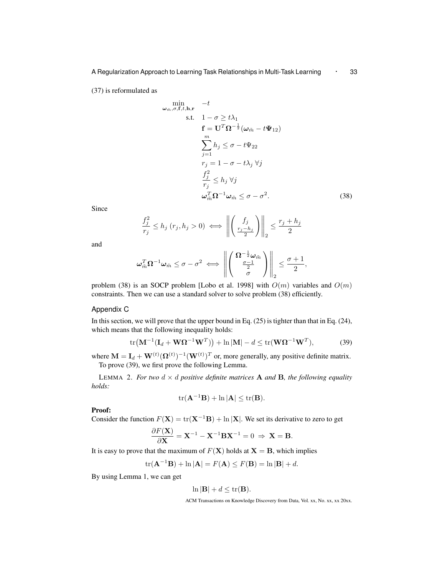(37) is reformulated as

$$
\min_{\omega_{\tilde{m}}, \sigma, \mathbf{f}, t, \mathbf{h}, \mathbf{r}} \quad -t
$$
\n
$$
\text{s.t.} \quad 1 - \sigma \ge t\lambda_1
$$
\n
$$
\mathbf{f} = \mathbf{U}^T \Omega^{-\frac{1}{2}} (\omega_{\tilde{m}} - t\Psi_{12})
$$
\n
$$
\sum_{j=1}^m h_j \le \sigma - t\Psi_{22}
$$
\n
$$
r_j = 1 - \sigma - t\lambda_j \ \forall j
$$
\n
$$
\frac{f_j^2}{r_j} \le h_j \ \forall j
$$
\n
$$
\omega_{\tilde{m}}^T \Omega^{-1} \omega_{\tilde{m}} \le \sigma - \sigma^2. \tag{38}
$$

Since

$$
\frac{f_j^2}{r_j} \le h_j \ (r_j, h_j > 0) \iff \left\| \left( \frac{f_j}{r_j - h_j} \right) \right\|_2 \le \frac{r_j + h_j}{2}
$$

and

$$
\omega_{\tilde{m}}^T \Omega^{-1} \omega_{\tilde{m}} \leq \sigma - \sigma^2 \iff \left\| \left( \frac{\Omega^{-\frac{1}{2}} \omega_{\tilde{m}}}{\frac{\sigma - 1}{2}} \right) \right\|_2 \leq \frac{\sigma + 1}{2},
$$

problem (38) is an SOCP problem [Lobo et al. 1998] with  $O(m)$  variables and  $O(m)$ constraints. Then we can use a standard solver to solve problem (38) efficiently.

## Appendix C

In this section, we will prove that the upper bound in Eq.  $(25)$  is tighter than that in Eq.  $(24)$ , which means that the following inequality holds:

$$
\text{tr}\big(\mathbf{M}^{-1}(\mathbf{I}_d + \mathbf{W}\boldsymbol{\Omega}^{-1}\mathbf{W}^T)\big) + \ln|\mathbf{M}| - d \le \text{tr}(\mathbf{W}\boldsymbol{\Omega}^{-1}\mathbf{W}^T),\tag{39}
$$

where  $\mathbf{M} = \mathbf{I}_d + \mathbf{W}^{(t)}(\mathbf{\Omega}^{(t)})^{-1}(\mathbf{W}^{(t)})^T$  or, more generally, any positive definite matrix. To prove (39), we first prove the following Lemma.

LEMMA 2. For two  $d \times d$  positive definite matrices **A** and **B**, the following equality *holds:*

$$
\mathrm{tr}(\mathbf{A}^{-1}\mathbf{B}) + \ln |\mathbf{A}| \leq \mathrm{tr}(\mathbf{B}).
$$

Proof:

Consider the function  $F(\mathbf{X}) = \text{tr}(\mathbf{X}^{-1} \mathbf{B}) + \ln |\mathbf{X}|$ . We set its derivative to zero to get

$$
\frac{\partial F(\mathbf{X})}{\partial \mathbf{X}} = \mathbf{X}^{-1} - \mathbf{X}^{-1} \mathbf{B} \mathbf{X}^{-1} = 0 \Rightarrow \mathbf{X} = \mathbf{B}.
$$

It is easy to prove that the maximum of  $F(X)$  holds at  $X = B$ , which implies

$$
\text{tr}(\mathbf{A}^{-1}\mathbf{B}) + \ln |\mathbf{A}| = F(\mathbf{A}) \le F(\mathbf{B}) = \ln |\mathbf{B}| + d.
$$

By using Lemma 1, we can get

$$
\ln|\mathbf{B}| + d \leq \operatorname{tr}(\mathbf{B}).
$$